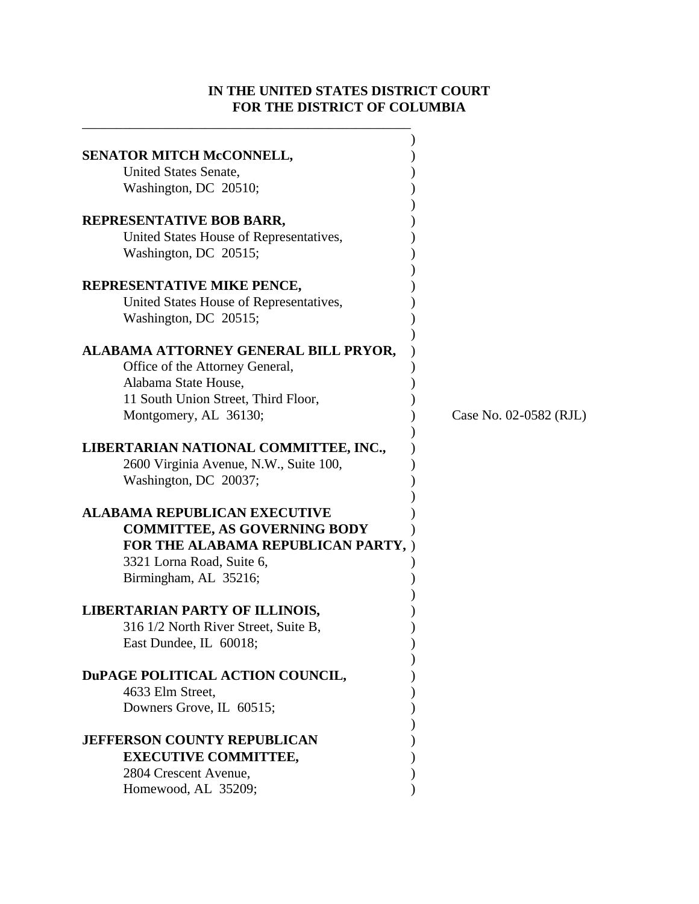# **IN THE UNITED STATES DISTRICT COURT FOR THE DISTRICT OF COLUMBIA**

\_\_\_\_\_\_\_\_\_\_\_\_\_\_\_\_\_\_\_\_\_\_\_\_\_\_\_\_\_\_\_\_\_\_\_\_\_\_\_\_\_\_\_\_\_\_\_\_

| SENATOR MITCH McCONNELL,<br>United States Senate,<br>Washington, DC 20510;                                                                                              |                        |
|-------------------------------------------------------------------------------------------------------------------------------------------------------------------------|------------------------|
| REPRESENTATIVE BOB BARR,<br>United States House of Representatives,<br>Washington, DC 20515;                                                                            |                        |
| REPRESENTATIVE MIKE PENCE,<br>United States House of Representatives,<br>Washington, DC 20515;                                                                          |                        |
| ALABAMA ATTORNEY GENERAL BILL PRYOR,<br>Office of the Attorney General,<br>Alabama State House,<br>11 South Union Street, Third Floor,<br>Montgomery, AL 36130;         | Case No. 02-0582 (RJL) |
| LIBERTARIAN NATIONAL COMMITTEE, INC.,<br>2600 Virginia Avenue, N.W., Suite 100,<br>Washington, DC 20037;                                                                |                        |
| <b>ALABAMA REPUBLICAN EXECUTIVE</b><br><b>COMMITTEE, AS GOVERNING BODY</b><br>FOR THE ALABAMA REPUBLICAN PARTY, )<br>3321 Lorna Road, Suite 6,<br>Birmingham, AL 35216; |                        |
| <b>LIBERTARIAN PARTY OF ILLINOIS,</b><br>316 1/2 North River Street, Suite B,<br>East Dundee, IL 60018;                                                                 |                        |
| DuPAGE POLITICAL ACTION COUNCIL,<br>4633 Elm Street,<br>Downers Grove, IL 60515;                                                                                        |                        |
| <b>JEFFERSON COUNTY REPUBLICAN</b><br><b>EXECUTIVE COMMITTEE,</b><br>2804 Crescent Avenue,<br>Homewood, AL 35209;                                                       |                        |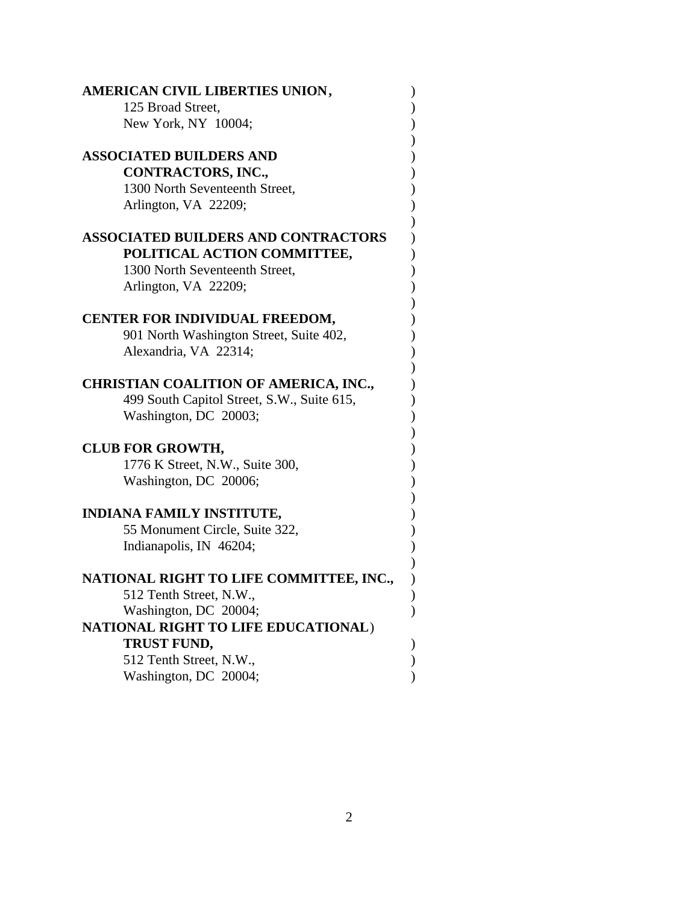| AMERICAN CIVIL LIBERTIES UNION,              |  |
|----------------------------------------------|--|
| 125 Broad Street,                            |  |
| New York, NY 10004;                          |  |
| <b>ASSOCIATED BUILDERS AND</b>               |  |
| CONTRACTORS, INC.,                           |  |
| 1300 North Seventeenth Street,               |  |
| Arlington, VA 22209;                         |  |
|                                              |  |
| <b>ASSOCIATED BUILDERS AND CONTRACTORS</b>   |  |
| POLITICAL ACTION COMMITTEE,                  |  |
| 1300 North Seventeenth Street,               |  |
| Arlington, VA 22209;                         |  |
|                                              |  |
| <b>CENTER FOR INDIVIDUAL FREEDOM,</b>        |  |
| 901 North Washington Street, Suite 402,      |  |
| Alexandria, VA 22314;                        |  |
|                                              |  |
| <b>CHRISTIAN COALITION OF AMERICA, INC.,</b> |  |
| 499 South Capitol Street, S.W., Suite 615,   |  |
| Washington, DC 20003;                        |  |
| <b>CLUB FOR GROWTH,</b>                      |  |
| 1776 K Street, N.W., Suite 300,              |  |
| Washington, DC 20006;                        |  |
|                                              |  |
| <b>INDIANA FAMILY INSTITUTE,</b>             |  |
| 55 Monument Circle, Suite 322,               |  |
| Indianapolis, IN 46204;                      |  |
|                                              |  |
| NATIONAL RIGHT TO LIFE COMMITTEE, INC.,      |  |
| 512 Tenth Street, N.W.                       |  |
| Washington, DC 20004;                        |  |
| NATIONAL RIGHT TO LIFE EDUCATIONAL)          |  |
| <b>TRUST FUND,</b>                           |  |
| 512 Tenth Street, N.W.,                      |  |
| Washington, DC 20004;                        |  |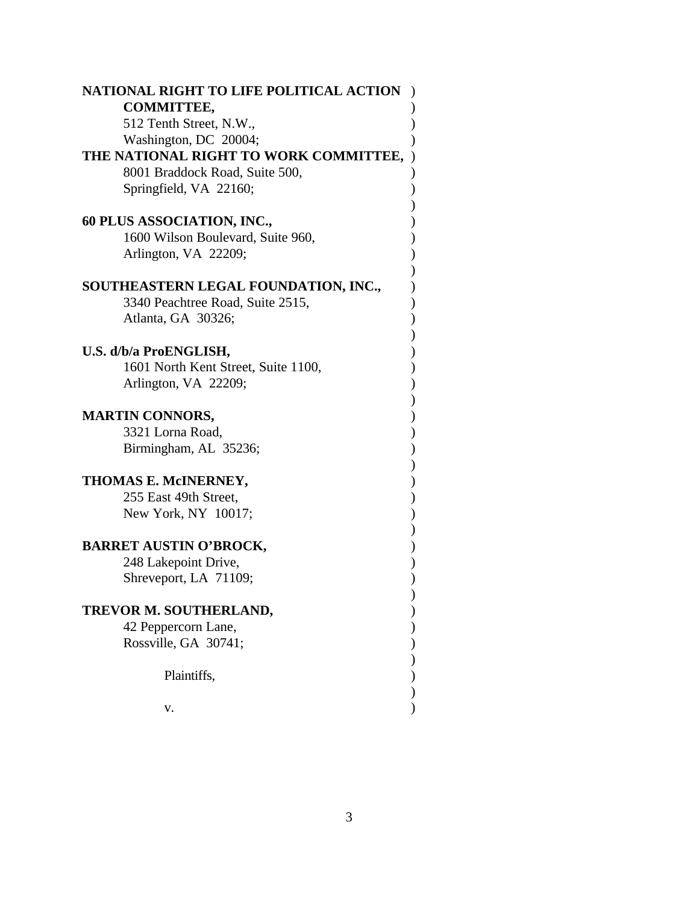| NATIONAL RIGHT TO LIFE POLITICAL ACTION |  |
|-----------------------------------------|--|
| <b>COMMITTEE,</b>                       |  |
| 512 Tenth Street, N.W.,                 |  |
| Washington, DC 20004;                   |  |
| THE NATIONAL RIGHT TO WORK COMMITTEE,   |  |
| 8001 Braddock Road, Suite 500,          |  |
| Springfield, VA 22160;                  |  |
|                                         |  |
| 60 PLUS ASSOCIATION, INC.,              |  |
| 1600 Wilson Boulevard, Suite 960,       |  |
| Arlington, VA 22209;                    |  |
|                                         |  |
| SOUTHEASTERN LEGAL FOUNDATION, INC.,    |  |
| 3340 Peachtree Road, Suite 2515,        |  |
| Atlanta, GA 30326;                      |  |
|                                         |  |
| U.S. d/b/a ProENGLISH,                  |  |
| 1601 North Kent Street, Suite 1100,     |  |
| Arlington, VA 22209;                    |  |
|                                         |  |
| <b>MARTIN CONNORS,</b>                  |  |
| 3321 Lorna Road,                        |  |
| Birmingham, AL 35236;                   |  |
|                                         |  |
| THOMAS E. McINERNEY,                    |  |
| 255 East 49th Street,                   |  |
| New York, NY 10017;                     |  |
|                                         |  |
| <b>BARRET AUSTIN O'BROCK,</b>           |  |
| 248 Lakepoint Drive,                    |  |
| Shreveport, LA 71109;                   |  |
|                                         |  |
| TREVOR M. SOUTHERLAND,                  |  |
| 42 Peppercorn Lane,                     |  |
| Rossville, GA 30741;                    |  |
|                                         |  |
| Plaintiffs,                             |  |
|                                         |  |
| v.                                      |  |
|                                         |  |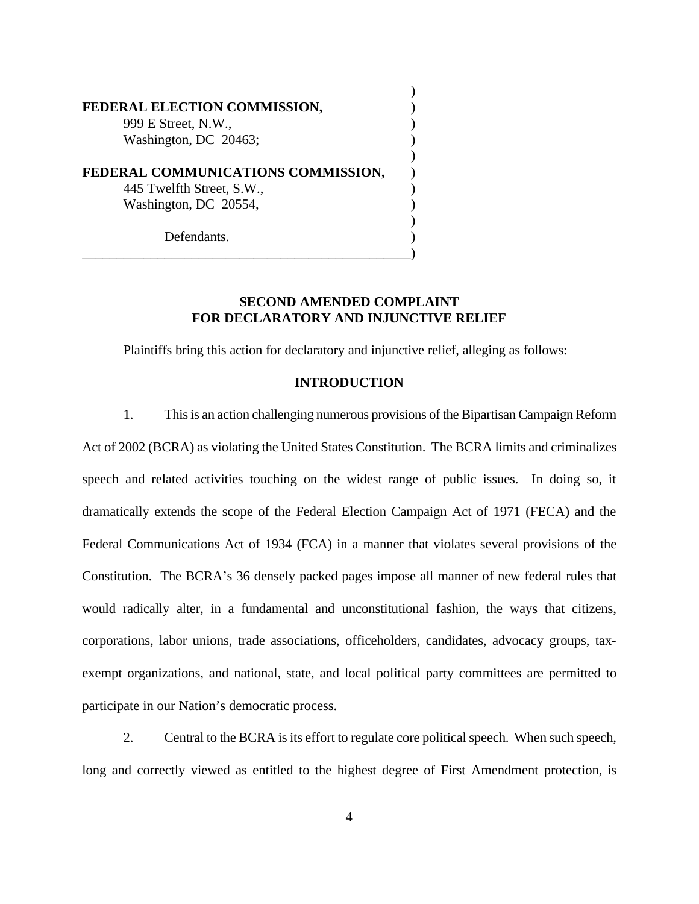| FEDERAL ELECTION COMMISSION,       |  |
|------------------------------------|--|
| 999 E Street, N.W.,                |  |
| Washington, DC 20463;              |  |
| FEDERAL COMMUNICATIONS COMMISSION, |  |
| 445 Twelfth Street, S.W.,          |  |
| Washington, DC 20554,              |  |
| Defendants.                        |  |

# **SECOND AMENDED COMPLAINT FOR DECLARATORY AND INJUNCTIVE RELIEF**

 $\lambda$ 

Plaintiffs bring this action for declaratory and injunctive relief, alleging as follows:

# **INTRODUCTION**

1. This is an action challenging numerous provisions of the Bipartisan Campaign Reform Act of 2002 (BCRA) as violating the United States Constitution. The BCRA limits and criminalizes speech and related activities touching on the widest range of public issues. In doing so, it dramatically extends the scope of the Federal Election Campaign Act of 1971 (FECA) and the Federal Communications Act of 1934 (FCA) in a manner that violates several provisions of the Constitution. The BCRA's 36 densely packed pages impose all manner of new federal rules that would radically alter, in a fundamental and unconstitutional fashion, the ways that citizens, corporations, labor unions, trade associations, officeholders, candidates, advocacy groups, taxexempt organizations, and national, state, and local political party committees are permitted to participate in our Nation's democratic process.

2. Central to the BCRA is its effort to regulate core political speech. When such speech, long and correctly viewed as entitled to the highest degree of First Amendment protection, is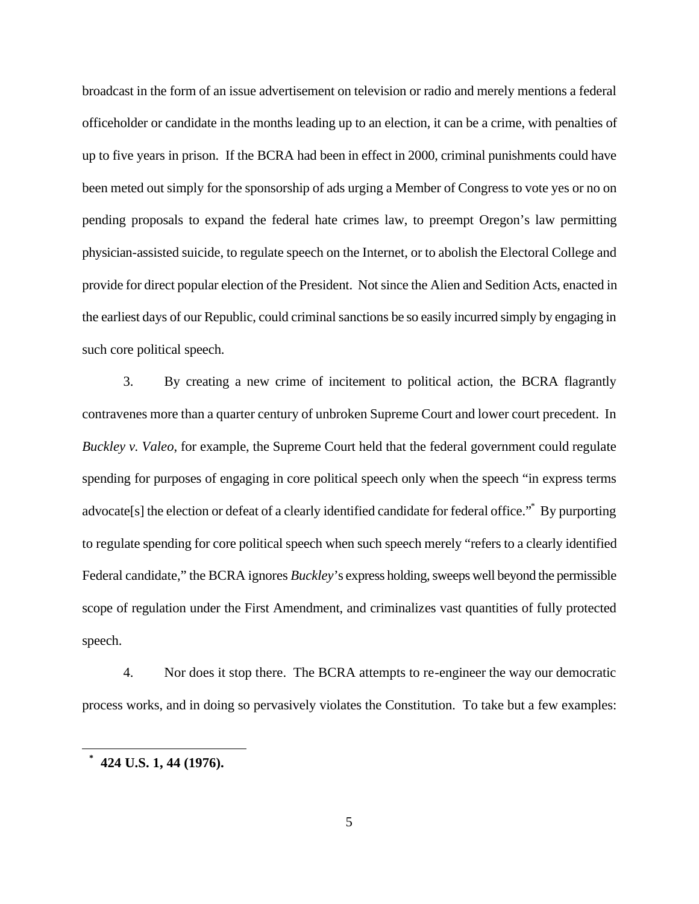broadcast in the form of an issue advertisement on television or radio and merely mentions a federal officeholder or candidate in the months leading up to an election, it can be a crime, with penalties of up to five years in prison. If the BCRA had been in effect in 2000, criminal punishments could have been meted out simply for the sponsorship of ads urging a Member of Congress to vote yes or no on pending proposals to expand the federal hate crimes law, to preempt Oregon's law permitting physician-assisted suicide, to regulate speech on the Internet, or to abolish the Electoral College and provide for direct popular election of the President. Not since the Alien and Sedition Acts, enacted in the earliest days of our Republic, could criminal sanctions be so easily incurred simply by engaging in such core political speech.

3. By creating a new crime of incitement to political action, the BCRA flagrantly contravenes more than a quarter century of unbroken Supreme Court and lower court precedent. In *Buckley v. Valeo*, for example, the Supreme Court held that the federal government could regulate spending for purposes of engaging in core political speech only when the speech "in express terms advocate[s] the election or defeat of a clearly identified candidate for federal office."\* By purporting to regulate spending for core political speech when such speech merely "refers to a clearly identified Federal candidate," the BCRA ignores *Buckley*'s express holding, sweeps well beyond the permissible scope of regulation under the First Amendment, and criminalizes vast quantities of fully protected speech.

4. Nor does it stop there. The BCRA attempts to re-engineer the way our democratic process works, and in doing so pervasively violates the Constitution. To take but a few examples:

 $\overline{a}$ 

**<sup>\*</sup> 424 U.S. 1, 44 (1976).**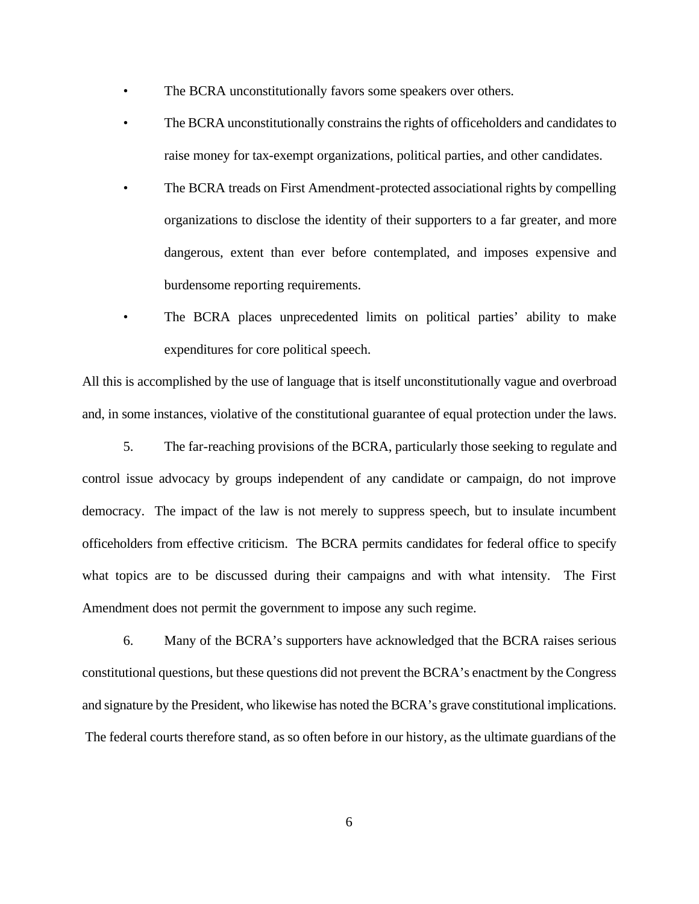- The BCRA unconstitutionally favors some speakers over others.
- The BCRA unconstitutionally constrains the rights of officeholders and candidates to raise money for tax-exempt organizations, political parties, and other candidates.
- The BCRA treads on First Amendment-protected associational rights by compelling organizations to disclose the identity of their supporters to a far greater, and more dangerous, extent than ever before contemplated, and imposes expensive and burdensome reporting requirements.
- The BCRA places unprecedented limits on political parties' ability to make expenditures for core political speech.

All this is accomplished by the use of language that is itself unconstitutionally vague and overbroad and, in some instances, violative of the constitutional guarantee of equal protection under the laws.

5. The far-reaching provisions of the BCRA, particularly those seeking to regulate and control issue advocacy by groups independent of any candidate or campaign, do not improve democracy. The impact of the law is not merely to suppress speech, but to insulate incumbent officeholders from effective criticism. The BCRA permits candidates for federal office to specify what topics are to be discussed during their campaigns and with what intensity. The First Amendment does not permit the government to impose any such regime.

6. Many of the BCRA's supporters have acknowledged that the BCRA raises serious constitutional questions, but these questions did not prevent the BCRA's enactment by the Congress and signature by the President, who likewise has noted the BCRA's grave constitutional implications. The federal courts therefore stand, as so often before in our history, as the ultimate guardians of the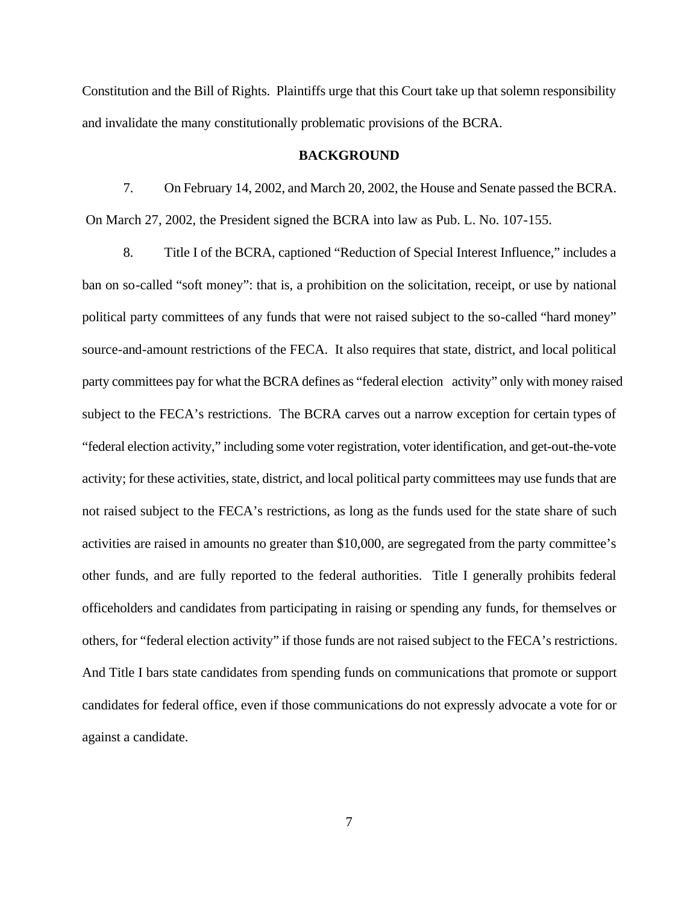Constitution and the Bill of Rights. Plaintiffs urge that this Court take up that solemn responsibility and invalidate the many constitutionally problematic provisions of the BCRA.

#### **BACKGROUND**

7. On February 14, 2002, and March 20, 2002, the House and Senate passed the BCRA. On March 27, 2002, the President signed the BCRA into law as Pub. L. No. 107-155.

8. Title I of the BCRA, captioned "Reduction of Special Interest Influence," includes a ban on so-called "soft money": that is, a prohibition on the solicitation, receipt, or use by national political party committees of any funds that were not raised subject to the so-called "hard money" source-and-amount restrictions of the FECA. It also requires that state, district, and local political party committees pay for what the BCRA defines as "federal election activity" only with money raised subject to the FECA's restrictions. The BCRA carves out a narrow exception for certain types of "federal election activity," including some voter registration, voter identification, and get-out-the-vote activity; for these activities, state, district, and local political party committees may use funds that are not raised subject to the FECA's restrictions, as long as the funds used for the state share of such activities are raised in amounts no greater than \$10,000, are segregated from the party committee's other funds, and are fully reported to the federal authorities. Title I generally prohibits federal officeholders and candidates from participating in raising or spending any funds, for themselves or others, for "federal election activity" if those funds are not raised subject to the FECA's restrictions. And Title I bars state candidates from spending funds on communications that promote or support candidates for federal office, even if those communications do not expressly advocate a vote for or against a candidate.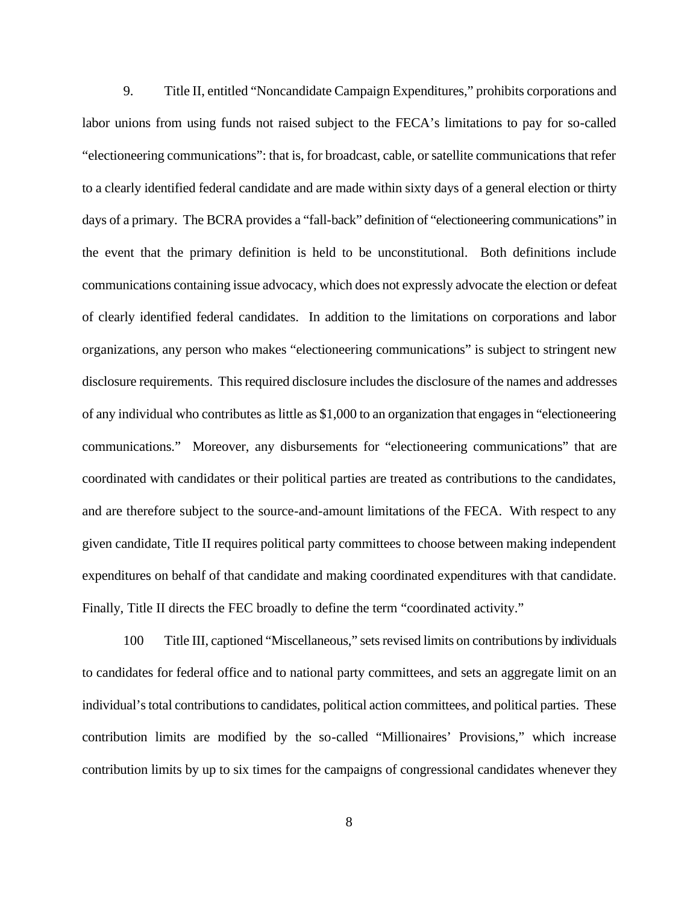9. Title II, entitled "Noncandidate Campaign Expenditures," prohibits corporations and labor unions from using funds not raised subject to the FECA's limitations to pay for so-called "electioneering communications": that is, for broadcast, cable, or satellite communications that refer to a clearly identified federal candidate and are made within sixty days of a general election or thirty days of a primary. The BCRA provides a "fall-back" definition of "electioneering communications" in the event that the primary definition is held to be unconstitutional. Both definitions include communications containing issue advocacy, which does not expressly advocate the election or defeat of clearly identified federal candidates. In addition to the limitations on corporations and labor organizations, any person who makes "electioneering communications" is subject to stringent new disclosure requirements. This required disclosure includes the disclosure of the names and addresses of any individual who contributes as little as \$1,000 to an organization that engages in "electioneering communications." Moreover, any disbursements for "electioneering communications" that are coordinated with candidates or their political parties are treated as contributions to the candidates, and are therefore subject to the source-and-amount limitations of the FECA. With respect to any given candidate, Title II requires political party committees to choose between making independent expenditures on behalf of that candidate and making coordinated expenditures with that candidate. Finally, Title II directs the FEC broadly to define the term "coordinated activity."

100 Title III, captioned "Miscellaneous," sets revised limits on contributions by individuals to candidates for federal office and to national party committees, and sets an aggregate limit on an individual's total contributions to candidates, political action committees, and political parties. These contribution limits are modified by the so-called "Millionaires' Provisions," which increase contribution limits by up to six times for the campaigns of congressional candidates whenever they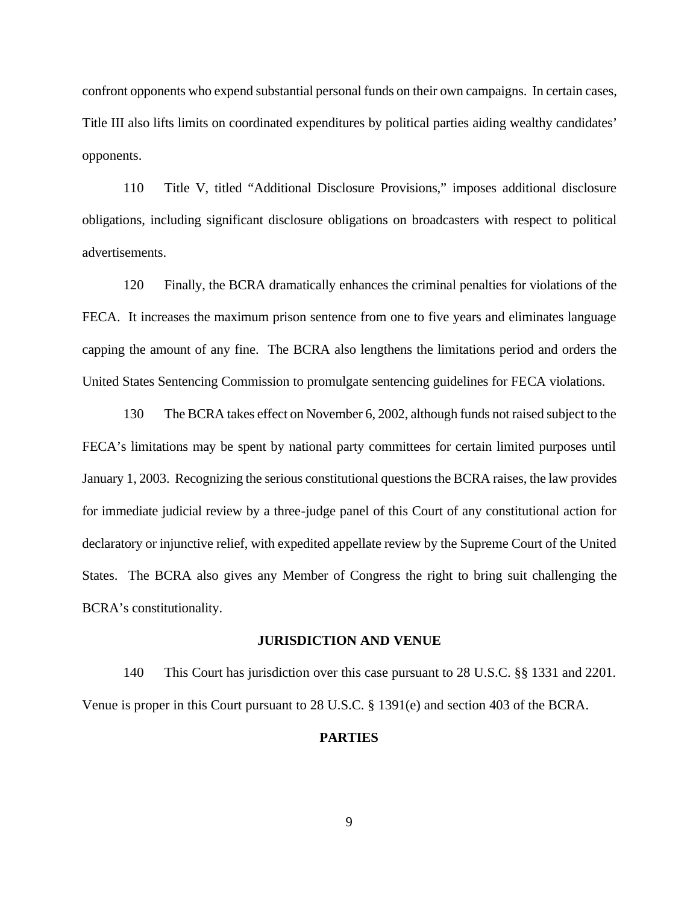confront opponents who expend substantial personal funds on their own campaigns. In certain cases, Title III also lifts limits on coordinated expenditures by political parties aiding wealthy candidates' opponents.

110 Title V, titled "Additional Disclosure Provisions," imposes additional disclosure obligations, including significant disclosure obligations on broadcasters with respect to political advertisements.

120 Finally, the BCRA dramatically enhances the criminal penalties for violations of the FECA. It increases the maximum prison sentence from one to five years and eliminates language capping the amount of any fine. The BCRA also lengthens the limitations period and orders the United States Sentencing Commission to promulgate sentencing guidelines for FECA violations.

130 The BCRA takes effect on November 6, 2002, although funds not raised subject to the FECA's limitations may be spent by national party committees for certain limited purposes until January 1, 2003. Recognizing the serious constitutional questions the BCRA raises, the law provides for immediate judicial review by a three-judge panel of this Court of any constitutional action for declaratory or injunctive relief, with expedited appellate review by the Supreme Court of the United States. The BCRA also gives any Member of Congress the right to bring suit challenging the BCRA's constitutionality.

# **JURISDICTION AND VENUE**

140 This Court has jurisdiction over this case pursuant to 28 U.S.C. §§ 1331 and 2201. Venue is proper in this Court pursuant to 28 U.S.C. § 1391(e) and section 403 of the BCRA.

#### **PARTIES**

9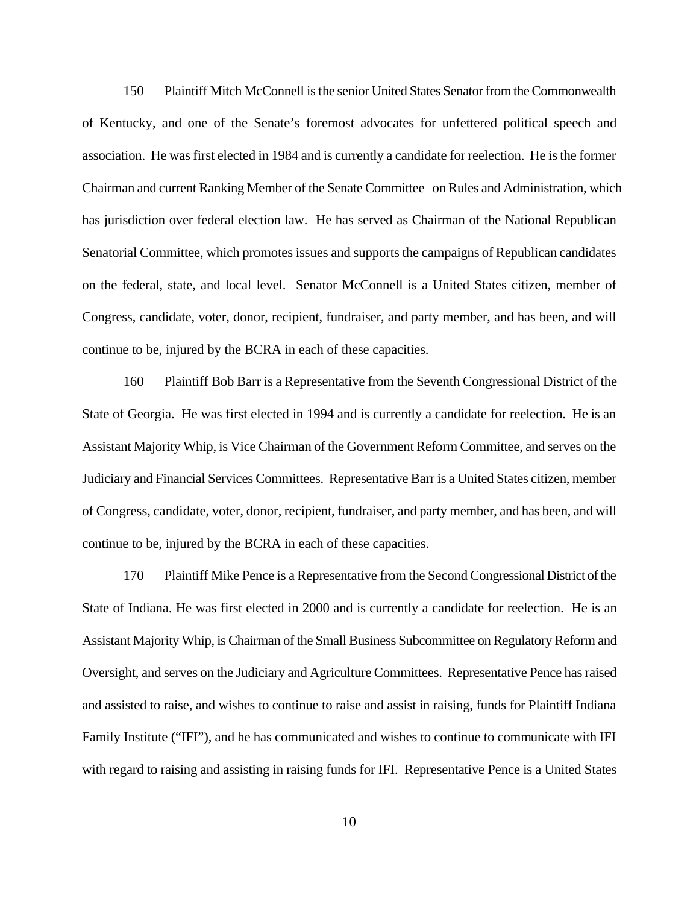150 Plaintiff Mitch McConnell is the senior United States Senator from the Commonwealth of Kentucky, and one of the Senate's foremost advocates for unfettered political speech and association. He was first elected in 1984 and is currently a candidate for reelection. He is the former Chairman and current Ranking Member of the Senate Committee on Rules and Administration, which has jurisdiction over federal election law. He has served as Chairman of the National Republican Senatorial Committee, which promotes issues and supports the campaigns of Republican candidates on the federal, state, and local level. Senator McConnell is a United States citizen, member of Congress, candidate, voter, donor, recipient, fundraiser, and party member, and has been, and will continue to be, injured by the BCRA in each of these capacities.

160 Plaintiff Bob Barr is a Representative from the Seventh Congressional District of the State of Georgia. He was first elected in 1994 and is currently a candidate for reelection. He is an Assistant Majority Whip, is Vice Chairman of the Government Reform Committee, and serves on the Judiciary and Financial Services Committees. Representative Barr is a United States citizen, member of Congress, candidate, voter, donor, recipient, fundraiser, and party member, and has been, and will continue to be, injured by the BCRA in each of these capacities.

170 Plaintiff Mike Pence is a Representative from the Second Congressional District of the State of Indiana. He was first elected in 2000 and is currently a candidate for reelection. He is an Assistant Majority Whip, is Chairman of the Small Business Subcommittee on Regulatory Reform and Oversight, and serves on the Judiciary and Agriculture Committees. Representative Pence has raised and assisted to raise, and wishes to continue to raise and assist in raising, funds for Plaintiff Indiana Family Institute ("IFI"), and he has communicated and wishes to continue to communicate with IFI with regard to raising and assisting in raising funds for IFI. Representative Pence is a United States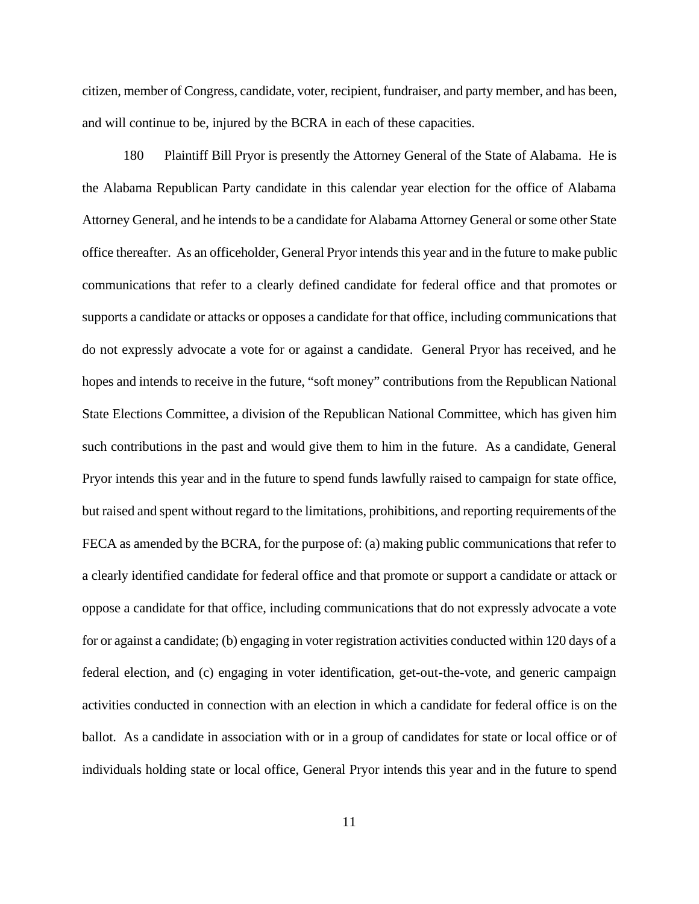citizen, member of Congress, candidate, voter, recipient, fundraiser, and party member, and has been, and will continue to be, injured by the BCRA in each of these capacities.

180 Plaintiff Bill Pryor is presently the Attorney General of the State of Alabama. He is the Alabama Republican Party candidate in this calendar year election for the office of Alabama Attorney General, and he intends to be a candidate for Alabama Attorney General or some other State office thereafter. As an officeholder, General Pryor intends this year and in the future to make public communications that refer to a clearly defined candidate for federal office and that promotes or supports a candidate or attacks or opposes a candidate for that office, including communications that do not expressly advocate a vote for or against a candidate. General Pryor has received, and he hopes and intends to receive in the future, "soft money" contributions from the Republican National State Elections Committee, a division of the Republican National Committee, which has given him such contributions in the past and would give them to him in the future. As a candidate, General Pryor intends this year and in the future to spend funds lawfully raised to campaign for state office, but raised and spent without regard to the limitations, prohibitions, and reporting requirements of the FECA as amended by the BCRA, for the purpose of: (a) making public communications that refer to a clearly identified candidate for federal office and that promote or support a candidate or attack or oppose a candidate for that office, including communications that do not expressly advocate a vote for or against a candidate; (b) engaging in voter registration activities conducted within 120 days of a federal election, and (c) engaging in voter identification, get-out-the-vote, and generic campaign activities conducted in connection with an election in which a candidate for federal office is on the ballot. As a candidate in association with or in a group of candidates for state or local office or of individuals holding state or local office, General Pryor intends this year and in the future to spend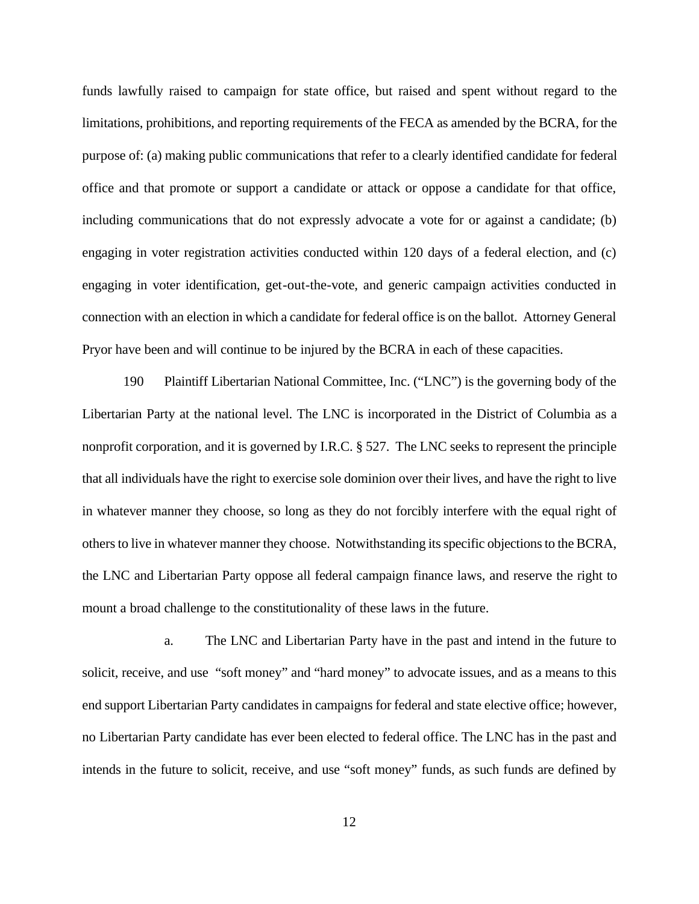funds lawfully raised to campaign for state office, but raised and spent without regard to the limitations, prohibitions, and reporting requirements of the FECA as amended by the BCRA, for the purpose of: (a) making public communications that refer to a clearly identified candidate for federal office and that promote or support a candidate or attack or oppose a candidate for that office, including communications that do not expressly advocate a vote for or against a candidate; (b) engaging in voter registration activities conducted within 120 days of a federal election, and (c) engaging in voter identification, get-out-the-vote, and generic campaign activities conducted in connection with an election in which a candidate for federal office is on the ballot. Attorney General Pryor have been and will continue to be injured by the BCRA in each of these capacities.

190 Plaintiff Libertarian National Committee, Inc. ("LNC") is the governing body of the Libertarian Party at the national level. The LNC is incorporated in the District of Columbia as a nonprofit corporation, and it is governed by I.R.C. § 527. The LNC seeks to represent the principle that all individuals have the right to exercise sole dominion over their lives, and have the right to live in whatever manner they choose, so long as they do not forcibly interfere with the equal right of others to live in whatever manner they choose. Notwithstanding its specific objections to the BCRA, the LNC and Libertarian Party oppose all federal campaign finance laws, and reserve the right to mount a broad challenge to the constitutionality of these laws in the future.

a. The LNC and Libertarian Party have in the past and intend in the future to solicit, receive, and use "soft money" and "hard money" to advocate issues, and as a means to this end support Libertarian Party candidates in campaigns for federal and state elective office; however, no Libertarian Party candidate has ever been elected to federal office. The LNC has in the past and intends in the future to solicit, receive, and use "soft money" funds, as such funds are defined by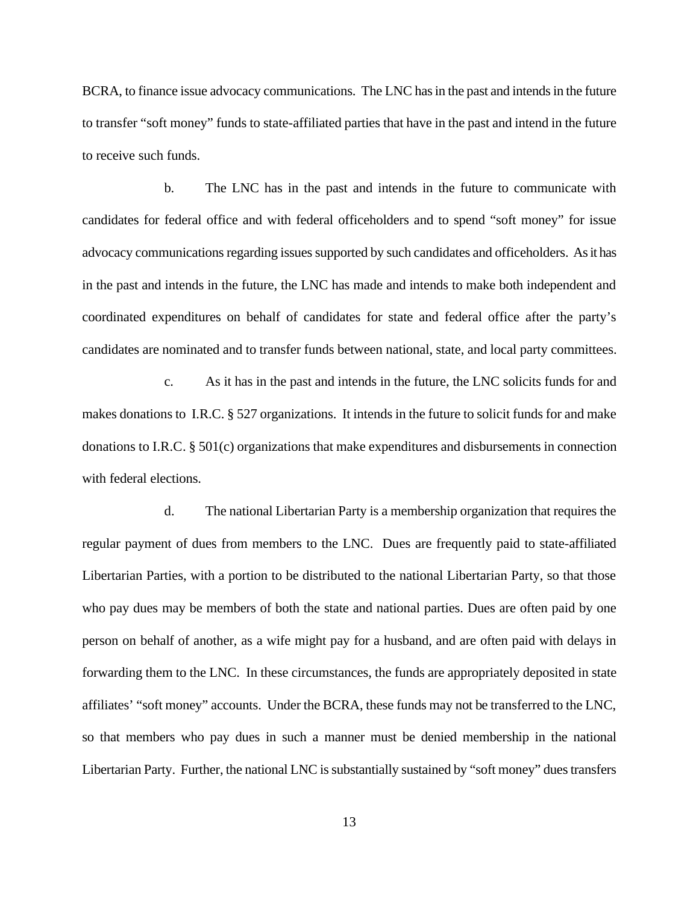BCRA, to finance issue advocacy communications. The LNC has in the past and intends in the future to transfer "soft money" funds to state-affiliated parties that have in the past and intend in the future to receive such funds.

b. The LNC has in the past and intends in the future to communicate with candidates for federal office and with federal officeholders and to spend "soft money" for issue advocacy communications regarding issues supported by such candidates and officeholders. As it has in the past and intends in the future, the LNC has made and intends to make both independent and coordinated expenditures on behalf of candidates for state and federal office after the party's candidates are nominated and to transfer funds between national, state, and local party committees.

c. As it has in the past and intends in the future, the LNC solicits funds for and makes donations to I.R.C. § 527 organizations. It intends in the future to solicit funds for and make donations to I.R.C. § 501(c) organizations that make expenditures and disbursements in connection with federal elections.

d. The national Libertarian Party is a membership organization that requires the regular payment of dues from members to the LNC. Dues are frequently paid to state-affiliated Libertarian Parties, with a portion to be distributed to the national Libertarian Party, so that those who pay dues may be members of both the state and national parties. Dues are often paid by one person on behalf of another, as a wife might pay for a husband, and are often paid with delays in forwarding them to the LNC. In these circumstances, the funds are appropriately deposited in state affiliates' "soft money" accounts. Under the BCRA, these funds may not be transferred to the LNC, so that members who pay dues in such a manner must be denied membership in the national Libertarian Party. Further, the national LNC is substantially sustained by "soft money" dues transfers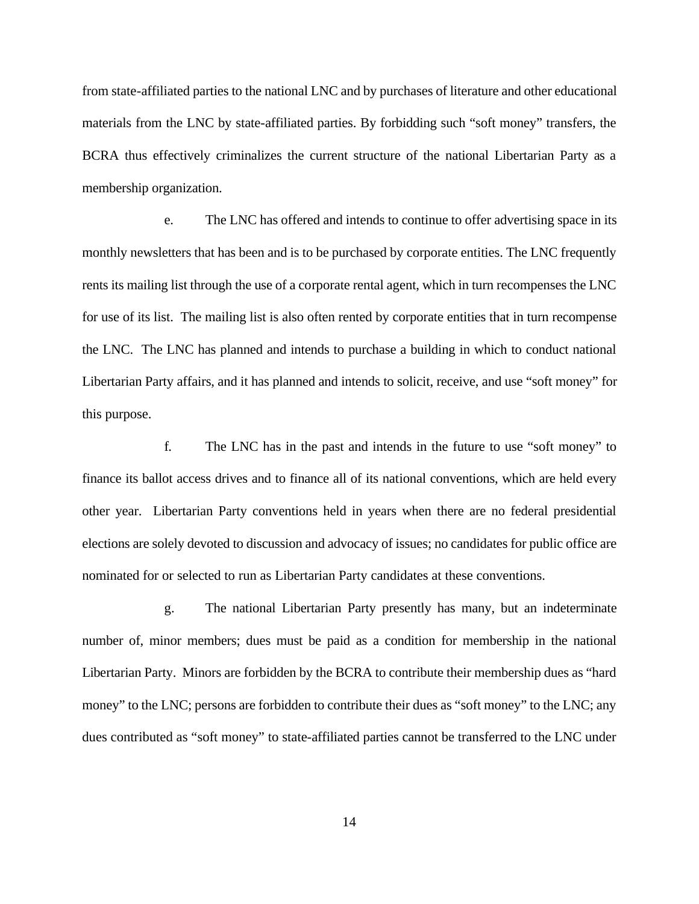from state-affiliated parties to the national LNC and by purchases of literature and other educational materials from the LNC by state-affiliated parties. By forbidding such "soft money" transfers, the BCRA thus effectively criminalizes the current structure of the national Libertarian Party as a membership organization.

e. The LNC has offered and intends to continue to offer advertising space in its monthly newsletters that has been and is to be purchased by corporate entities. The LNC frequently rents its mailing list through the use of a corporate rental agent, which in turn recompenses the LNC for use of its list. The mailing list is also often rented by corporate entities that in turn recompense the LNC. The LNC has planned and intends to purchase a building in which to conduct national Libertarian Party affairs, and it has planned and intends to solicit, receive, and use "soft money" for this purpose.

f. The LNC has in the past and intends in the future to use "soft money" to finance its ballot access drives and to finance all of its national conventions, which are held every other year. Libertarian Party conventions held in years when there are no federal presidential elections are solely devoted to discussion and advocacy of issues; no candidates for public office are nominated for or selected to run as Libertarian Party candidates at these conventions.

g. The national Libertarian Party presently has many, but an indeterminate number of, minor members; dues must be paid as a condition for membership in the national Libertarian Party. Minors are forbidden by the BCRA to contribute their membership dues as "hard money" to the LNC; persons are forbidden to contribute their dues as "soft money" to the LNC; any dues contributed as "soft money" to state-affiliated parties cannot be transferred to the LNC under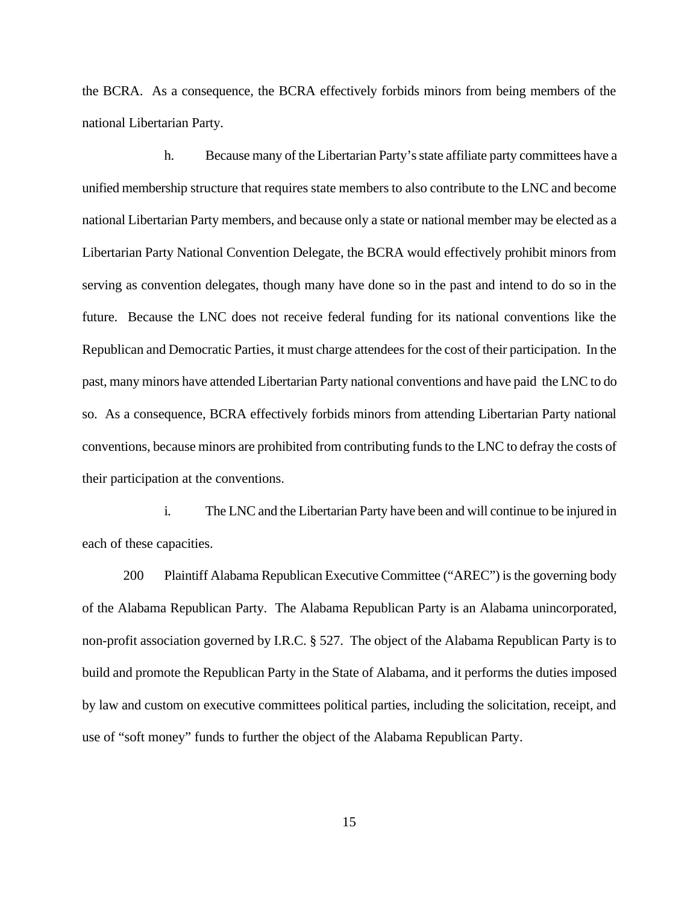the BCRA. As a consequence, the BCRA effectively forbids minors from being members of the national Libertarian Party.

h. Because many of the Libertarian Party's state affiliate party committees have a unified membership structure that requires state members to also contribute to the LNC and become national Libertarian Party members, and because only a state or national member may be elected as a Libertarian Party National Convention Delegate, the BCRA would effectively prohibit minors from serving as convention delegates, though many have done so in the past and intend to do so in the future. Because the LNC does not receive federal funding for its national conventions like the Republican and Democratic Parties, it must charge attendees for the cost of their participation. In the past, many minors have attended Libertarian Party national conventions and have paid the LNC to do so. As a consequence, BCRA effectively forbids minors from attending Libertarian Party national conventions, because minors are prohibited from contributing funds to the LNC to defray the costs of their participation at the conventions.

i. The LNC and the Libertarian Party have been and will continue to be injured in each of these capacities.

200 Plaintiff Alabama Republican Executive Committee ("AREC") is the governing body of the Alabama Republican Party. The Alabama Republican Party is an Alabama unincorporated, non-profit association governed by I.R.C. § 527. The object of the Alabama Republican Party is to build and promote the Republican Party in the State of Alabama, and it performs the duties imposed by law and custom on executive committees political parties, including the solicitation, receipt, and use of "soft money" funds to further the object of the Alabama Republican Party.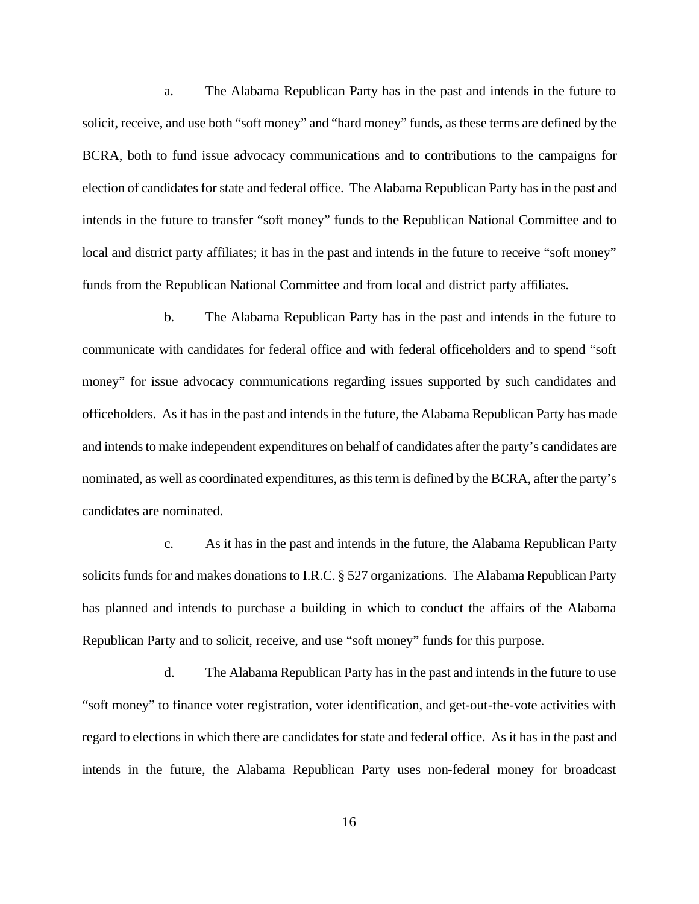a. The Alabama Republican Party has in the past and intends in the future to solicit, receive, and use both "soft money" and "hard money" funds, as these terms are defined by the BCRA, both to fund issue advocacy communications and to contributions to the campaigns for election of candidates for state and federal office. The Alabama Republican Party has in the past and intends in the future to transfer "soft money" funds to the Republican National Committee and to local and district party affiliates; it has in the past and intends in the future to receive "soft money" funds from the Republican National Committee and from local and district party affiliates.

b. The Alabama Republican Party has in the past and intends in the future to communicate with candidates for federal office and with federal officeholders and to spend "soft money" for issue advocacy communications regarding issues supported by such candidates and officeholders. As it has in the past and intends in the future, the Alabama Republican Party has made and intends to make independent expenditures on behalf of candidates after the party's candidates are nominated, as well as coordinated expenditures, as this term is defined by the BCRA, after the party's candidates are nominated.

c. As it has in the past and intends in the future, the Alabama Republican Party solicits funds for and makes donations to I.R.C. § 527 organizations. The Alabama Republican Party has planned and intends to purchase a building in which to conduct the affairs of the Alabama Republican Party and to solicit, receive, and use "soft money" funds for this purpose.

d. The Alabama Republican Party has in the past and intends in the future to use "soft money" to finance voter registration, voter identification, and get-out-the-vote activities with regard to elections in which there are candidates for state and federal office. As it has in the past and intends in the future, the Alabama Republican Party uses non-federal money for broadcast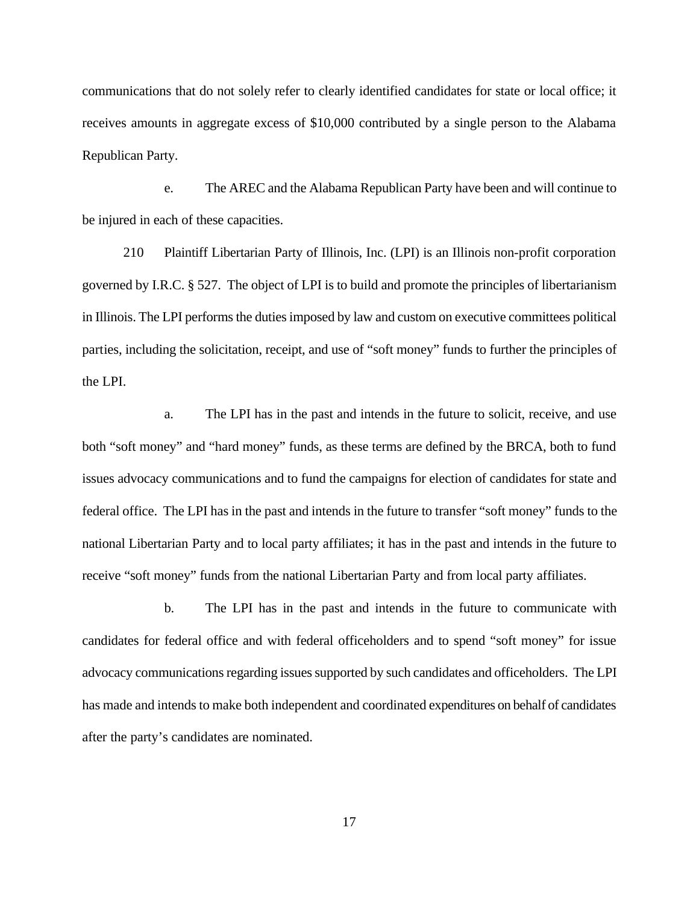communications that do not solely refer to clearly identified candidates for state or local office; it receives amounts in aggregate excess of \$10,000 contributed by a single person to the Alabama Republican Party.

e. The AREC and the Alabama Republican Party have been and will continue to be injured in each of these capacities.

210 Plaintiff Libertarian Party of Illinois, Inc. (LPI) is an Illinois non-profit corporation governed by I.R.C. § 527. The object of LPI is to build and promote the principles of libertarianism in Illinois. The LPI performs the duties imposed by law and custom on executive committees political parties, including the solicitation, receipt, and use of "soft money" funds to further the principles of the LPI.

a. The LPI has in the past and intends in the future to solicit, receive, and use both "soft money" and "hard money" funds, as these terms are defined by the BRCA, both to fund issues advocacy communications and to fund the campaigns for election of candidates for state and federal office. The LPI has in the past and intends in the future to transfer "soft money" funds to the national Libertarian Party and to local party affiliates; it has in the past and intends in the future to receive "soft money" funds from the national Libertarian Party and from local party affiliates.

b. The LPI has in the past and intends in the future to communicate with candidates for federal office and with federal officeholders and to spend "soft money" for issue advocacy communications regarding issues supported by such candidates and officeholders. The LPI has made and intends to make both independent and coordinated expenditures on behalf of candidates after the party's candidates are nominated.

17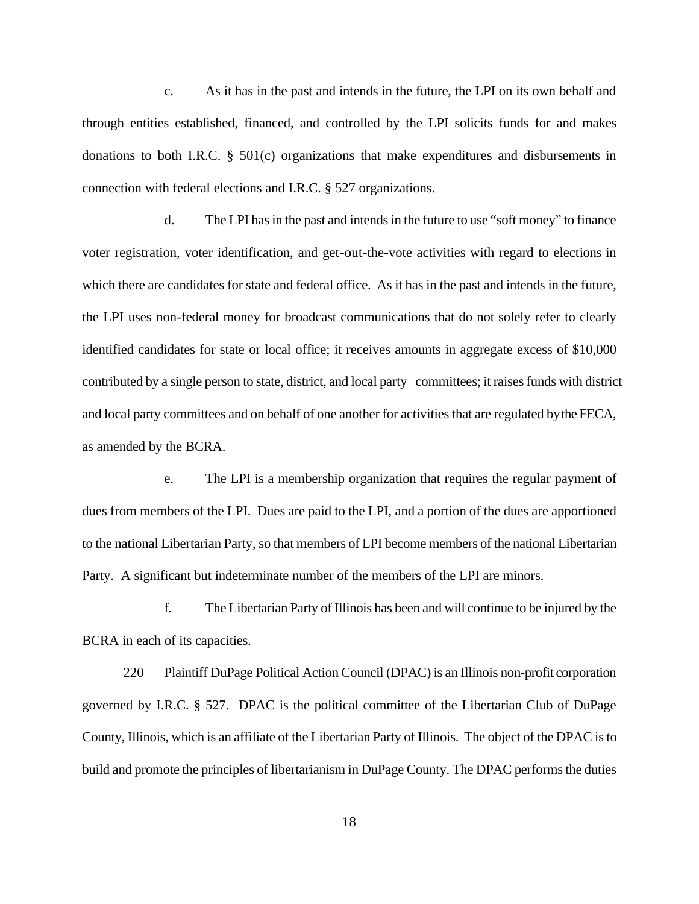c. As it has in the past and intends in the future, the LPI on its own behalf and through entities established, financed, and controlled by the LPI solicits funds for and makes donations to both I.R.C. § 501(c) organizations that make expenditures and disbursements in connection with federal elections and I.R.C. § 527 organizations.

d. The LPI has in the past and intends in the future to use "soft money" to finance voter registration, voter identification, and get-out-the-vote activities with regard to elections in which there are candidates for state and federal office. As it has in the past and intends in the future, the LPI uses non-federal money for broadcast communications that do not solely refer to clearly identified candidates for state or local office; it receives amounts in aggregate excess of \$10,000 contributed by a single person to state, district, and local party committees; it raises funds with district and local party committees and on behalf of one another for activities that are regulated by the FECA, as amended by the BCRA.

e. The LPI is a membership organization that requires the regular payment of dues from members of the LPI. Dues are paid to the LPI, and a portion of the dues are apportioned to the national Libertarian Party, so that members of LPI become members of the national Libertarian Party. A significant but indeterminate number of the members of the LPI are minors.

f. The Libertarian Party of Illinois has been and will continue to be injured by the BCRA in each of its capacities.

220 Plaintiff DuPage Political Action Council (DPAC) is an Illinois non-profit corporation governed by I.R.C. § 527. DPAC is the political committee of the Libertarian Club of DuPage County, Illinois, which is an affiliate of the Libertarian Party of Illinois. The object of the DPAC is to build and promote the principles of libertarianism in DuPage County. The DPAC performs the duties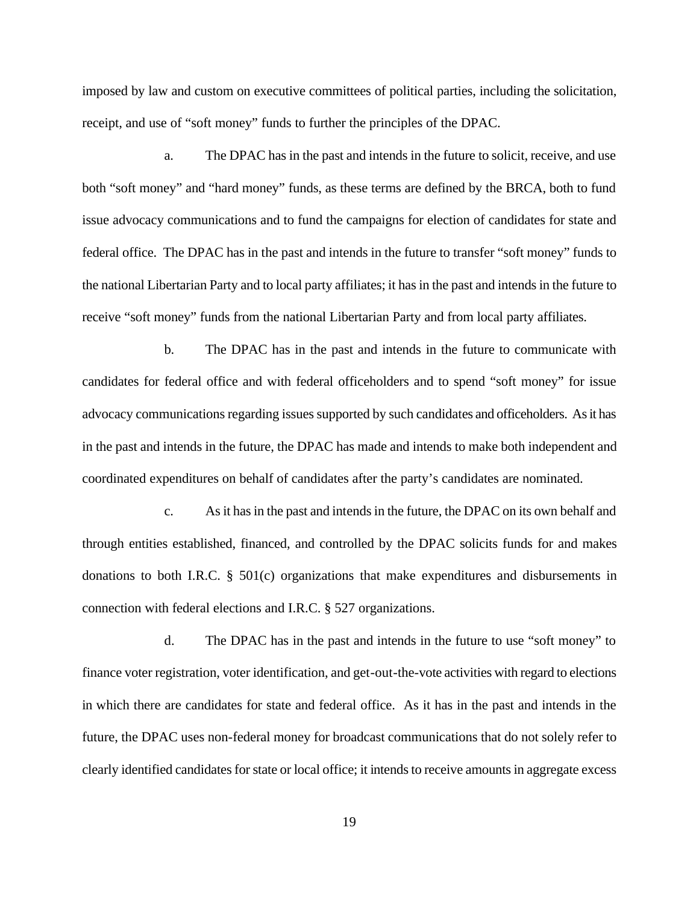imposed by law and custom on executive committees of political parties, including the solicitation, receipt, and use of "soft money" funds to further the principles of the DPAC.

a. The DPAC has in the past and intends in the future to solicit, receive, and use both "soft money" and "hard money" funds, as these terms are defined by the BRCA, both to fund issue advocacy communications and to fund the campaigns for election of candidates for state and federal office. The DPAC has in the past and intends in the future to transfer "soft money" funds to the national Libertarian Party and to local party affiliates; it has in the past and intends in the future to receive "soft money" funds from the national Libertarian Party and from local party affiliates.

b. The DPAC has in the past and intends in the future to communicate with candidates for federal office and with federal officeholders and to spend "soft money" for issue advocacy communications regarding issues supported by such candidates and officeholders. As it has in the past and intends in the future, the DPAC has made and intends to make both independent and coordinated expenditures on behalf of candidates after the party's candidates are nominated.

c. As it has in the past and intends in the future, the DPAC on its own behalf and through entities established, financed, and controlled by the DPAC solicits funds for and makes donations to both I.R.C. § 501(c) organizations that make expenditures and disbursements in connection with federal elections and I.R.C. § 527 organizations.

d. The DPAC has in the past and intends in the future to use "soft money" to finance voter registration, voter identification, and get-out-the-vote activities with regard to elections in which there are candidates for state and federal office. As it has in the past and intends in the future, the DPAC uses non-federal money for broadcast communications that do not solely refer to clearly identified candidates for state or local office; it intends to receive amounts in aggregate excess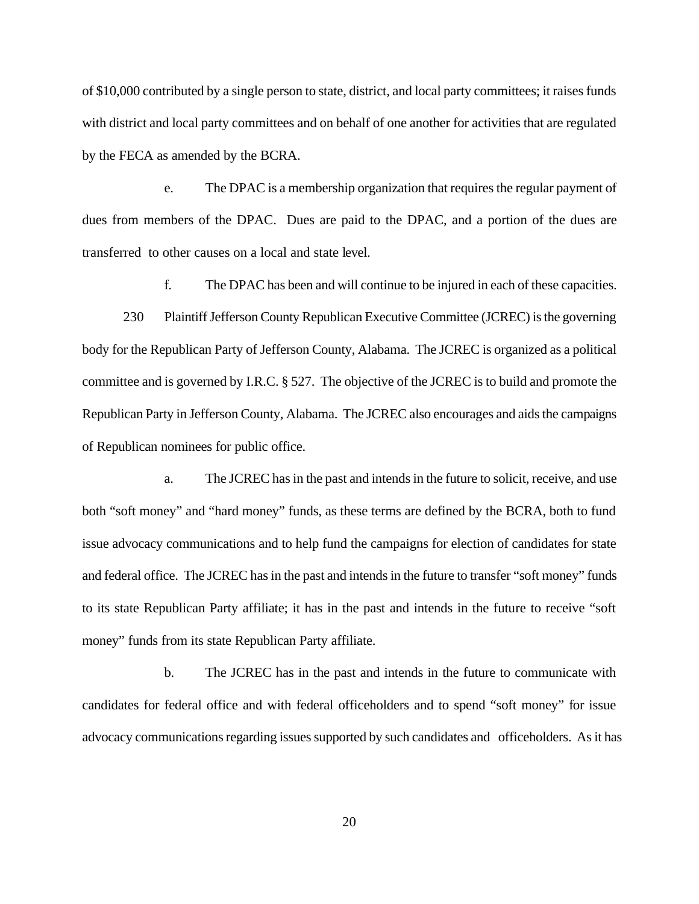of \$10,000 contributed by a single person to state, district, and local party committees; it raises funds with district and local party committees and on behalf of one another for activities that are regulated by the FECA as amended by the BCRA.

e. The DPAC is a membership organization that requires the regular payment of dues from members of the DPAC. Dues are paid to the DPAC, and a portion of the dues are transferred to other causes on a local and state level.

f. The DPAC has been and will continue to be injured in each of these capacities.

230 Plaintiff Jefferson County Republican Executive Committee (JCREC) is the governing body for the Republican Party of Jefferson County, Alabama. The JCREC is organized as a political committee and is governed by I.R.C. § 527. The objective of the JCREC is to build and promote the Republican Party in Jefferson County, Alabama. The JCREC also encourages and aids the campaigns of Republican nominees for public office.

a. The JCREC has in the past and intends in the future to solicit, receive, and use both "soft money" and "hard money" funds, as these terms are defined by the BCRA, both to fund issue advocacy communications and to help fund the campaigns for election of candidates for state and federal office. The JCREC has in the past and intends in the future to transfer "soft money" funds to its state Republican Party affiliate; it has in the past and intends in the future to receive "soft money" funds from its state Republican Party affiliate.

b. The JCREC has in the past and intends in the future to communicate with candidates for federal office and with federal officeholders and to spend "soft money" for issue advocacy communications regarding issues supported by such candidates and officeholders. As it has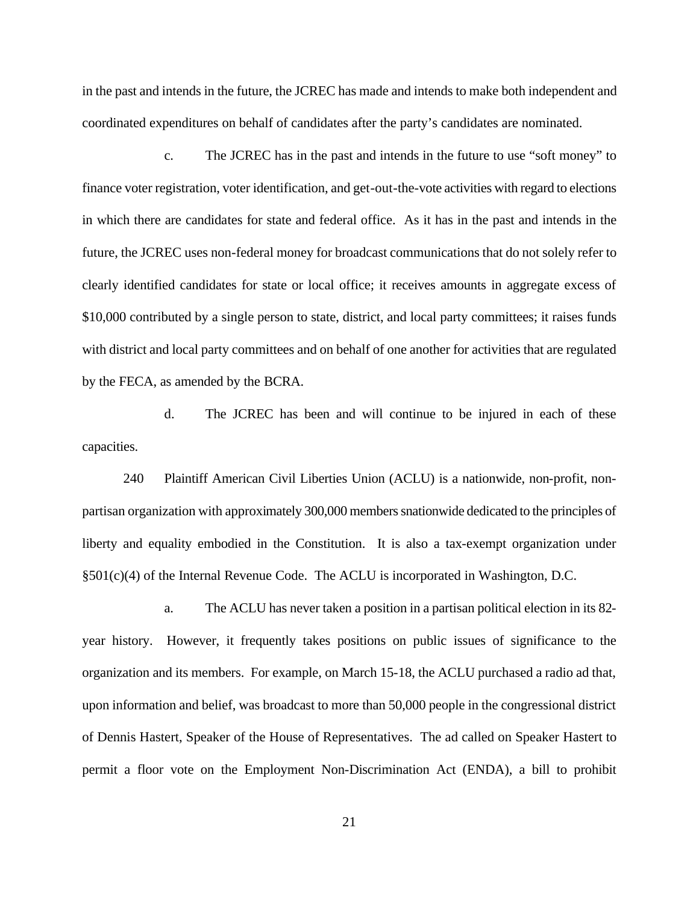in the past and intends in the future, the JCREC has made and intends to make both independent and coordinated expenditures on behalf of candidates after the party's candidates are nominated.

c. The JCREC has in the past and intends in the future to use "soft money" to finance voter registration, voter identification, and get-out-the-vote activities with regard to elections in which there are candidates for state and federal office. As it has in the past and intends in the future, the JCREC uses non-federal money for broadcast communications that do not solely refer to clearly identified candidates for state or local office; it receives amounts in aggregate excess of \$10,000 contributed by a single person to state, district, and local party committees; it raises funds with district and local party committees and on behalf of one another for activities that are regulated by the FECA, as amended by the BCRA.

d. The JCREC has been and will continue to be injured in each of these capacities.

240 Plaintiff American Civil Liberties Union (ACLU) is a nationwide, non-profit, nonpartisan organization with approximately 300,000 members snationwide dedicated to the principles of liberty and equality embodied in the Constitution. It is also a tax-exempt organization under §501(c)(4) of the Internal Revenue Code. The ACLU is incorporated in Washington, D.C.

a. The ACLU has never taken a position in a partisan political election in its 82 year history. However, it frequently takes positions on public issues of significance to the organization and its members. For example, on March 15-18, the ACLU purchased a radio ad that, upon information and belief, was broadcast to more than 50,000 people in the congressional district of Dennis Hastert, Speaker of the House of Representatives. The ad called on Speaker Hastert to permit a floor vote on the Employment Non-Discrimination Act (ENDA), a bill to prohibit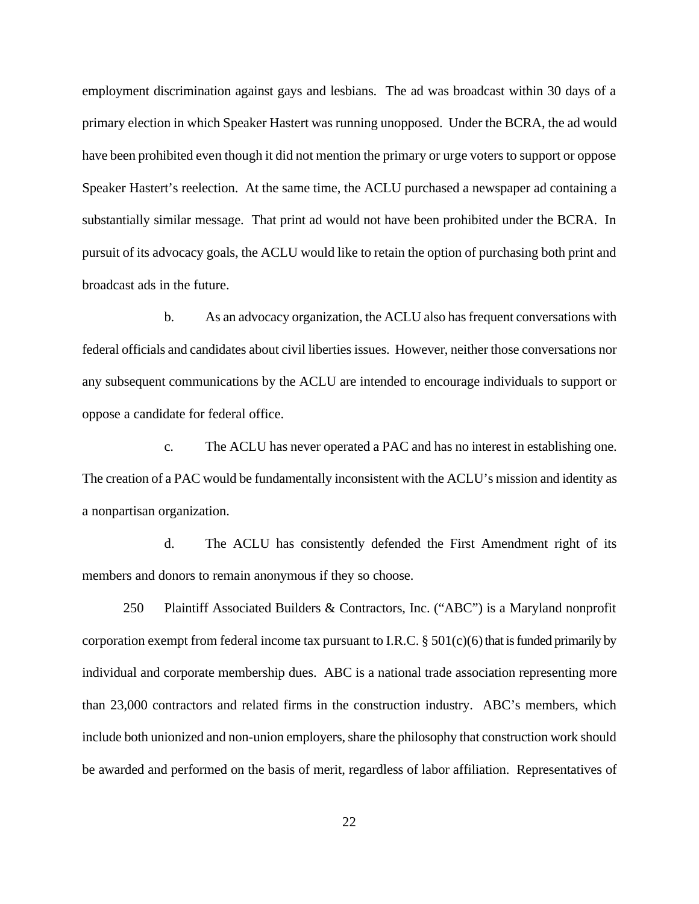employment discrimination against gays and lesbians. The ad was broadcast within 30 days of a primary election in which Speaker Hastert was running unopposed. Under the BCRA, the ad would have been prohibited even though it did not mention the primary or urge voters to support or oppose Speaker Hastert's reelection. At the same time, the ACLU purchased a newspaper ad containing a substantially similar message. That print ad would not have been prohibited under the BCRA. In pursuit of its advocacy goals, the ACLU would like to retain the option of purchasing both print and broadcast ads in the future.

b. As an advocacy organization, the ACLU also has frequent conversations with federal officials and candidates about civil liberties issues. However, neither those conversations nor any subsequent communications by the ACLU are intended to encourage individuals to support or oppose a candidate for federal office.

c. The ACLU has never operated a PAC and has no interest in establishing one. The creation of a PAC would be fundamentally inconsistent with the ACLU's mission and identity as a nonpartisan organization.

d. The ACLU has consistently defended the First Amendment right of its members and donors to remain anonymous if they so choose.

250 Plaintiff Associated Builders & Contractors, Inc. ("ABC") is a Maryland nonprofit corporation exempt from federal income tax pursuant to I.R.C.  $\S 501(c)(6)$  that is funded primarily by individual and corporate membership dues. ABC is a national trade association representing more than 23,000 contractors and related firms in the construction industry. ABC's members, which include both unionized and non-union employers, share the philosophy that construction work should be awarded and performed on the basis of merit, regardless of labor affiliation. Representatives of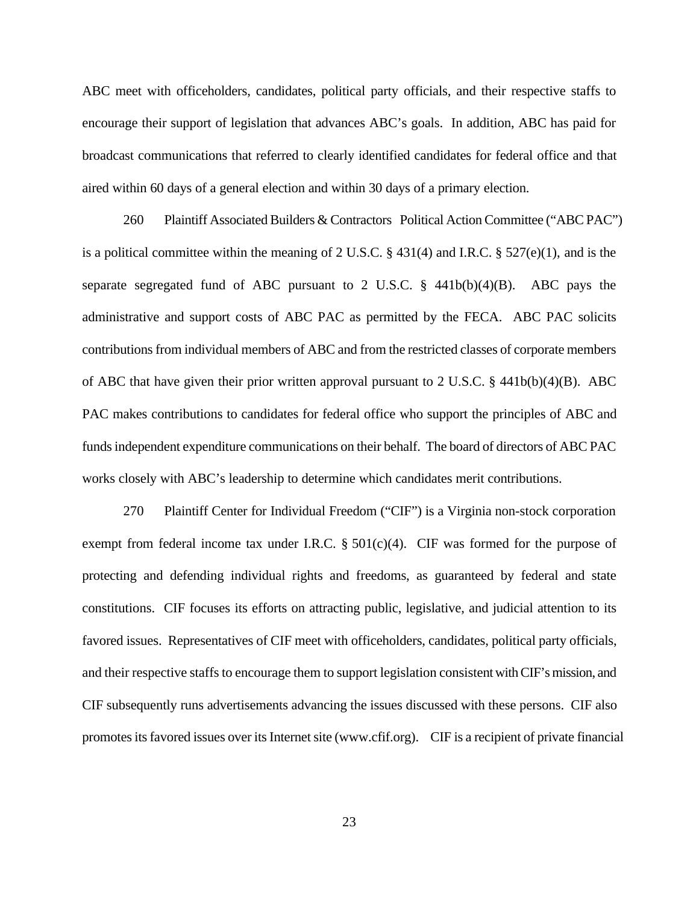ABC meet with officeholders, candidates, political party officials, and their respective staffs to encourage their support of legislation that advances ABC's goals. In addition, ABC has paid for broadcast communications that referred to clearly identified candidates for federal office and that aired within 60 days of a general election and within 30 days of a primary election.

260 Plaintiff Associated Builders & Contractors Political Action Committee ("ABC PAC") is a political committee within the meaning of 2 U.S.C. § 431(4) and I.R.C. § 527(e)(1), and is the separate segregated fund of ABC pursuant to 2 U.S.C.  $\S$  441b(b)(4)(B). ABC pays the administrative and support costs of ABC PAC as permitted by the FECA. ABC PAC solicits contributions from individual members of ABC and from the restricted classes of corporate members of ABC that have given their prior written approval pursuant to 2 U.S.C. § 441b(b)(4)(B). ABC PAC makes contributions to candidates for federal office who support the principles of ABC and funds independent expenditure communications on their behalf. The board of directors of ABC PAC works closely with ABC's leadership to determine which candidates merit contributions.

270 Plaintiff Center for Individual Freedom ("CIF") is a Virginia non-stock corporation exempt from federal income tax under I.R.C.  $\S$  501(c)(4). CIF was formed for the purpose of protecting and defending individual rights and freedoms, as guaranteed by federal and state constitutions. CIF focuses its efforts on attracting public, legislative, and judicial attention to its favored issues. Representatives of CIF meet with officeholders, candidates, political party officials, and their respective staffs to encourage them to support legislation consistent with CIF's mission, and CIF subsequently runs advertisements advancing the issues discussed with these persons. CIF also promotes its favored issues over its Internet site (www.cfif.org). CIF is a recipient of private financial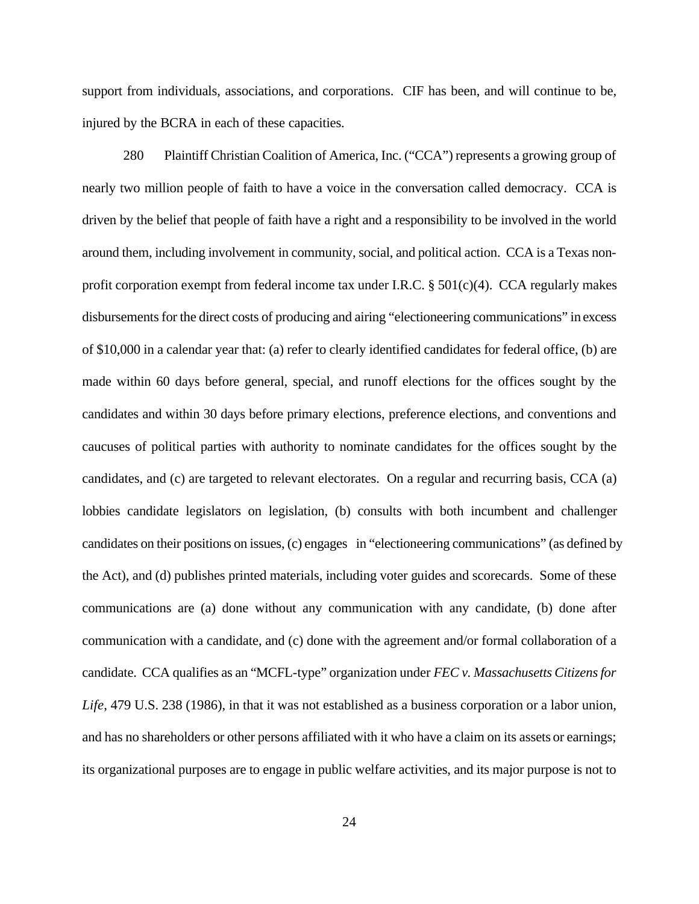support from individuals, associations, and corporations. CIF has been, and will continue to be, injured by the BCRA in each of these capacities.

280 Plaintiff Christian Coalition of America, Inc. ("CCA") represents a growing group of nearly two million people of faith to have a voice in the conversation called democracy. CCA is driven by the belief that people of faith have a right and a responsibility to be involved in the world around them, including involvement in community, social, and political action. CCA is a Texas nonprofit corporation exempt from federal income tax under I.R.C.  $\S 501(c)(4)$ . CCA regularly makes disbursements for the direct costs of producing and airing "electioneering communications" in excess of \$10,000 in a calendar year that: (a) refer to clearly identified candidates for federal office, (b) are made within 60 days before general, special, and runoff elections for the offices sought by the candidates and within 30 days before primary elections, preference elections, and conventions and caucuses of political parties with authority to nominate candidates for the offices sought by the candidates, and (c) are targeted to relevant electorates. On a regular and recurring basis, CCA (a) lobbies candidate legislators on legislation, (b) consults with both incumbent and challenger candidates on their positions on issues, (c) engages in "electioneering communications" (as defined by the Act), and (d) publishes printed materials, including voter guides and scorecards. Some of these communications are (a) done without any communication with any candidate, (b) done after communication with a candidate, and (c) done with the agreement and/or formal collaboration of a candidate. CCA qualifies as an "MCFL-type" organization under *FEC v. Massachusetts Citizens for Life*, 479 U.S. 238 (1986), in that it was not established as a business corporation or a labor union, and has no shareholders or other persons affiliated with it who have a claim on its assets or earnings; its organizational purposes are to engage in public welfare activities, and its major purpose is not to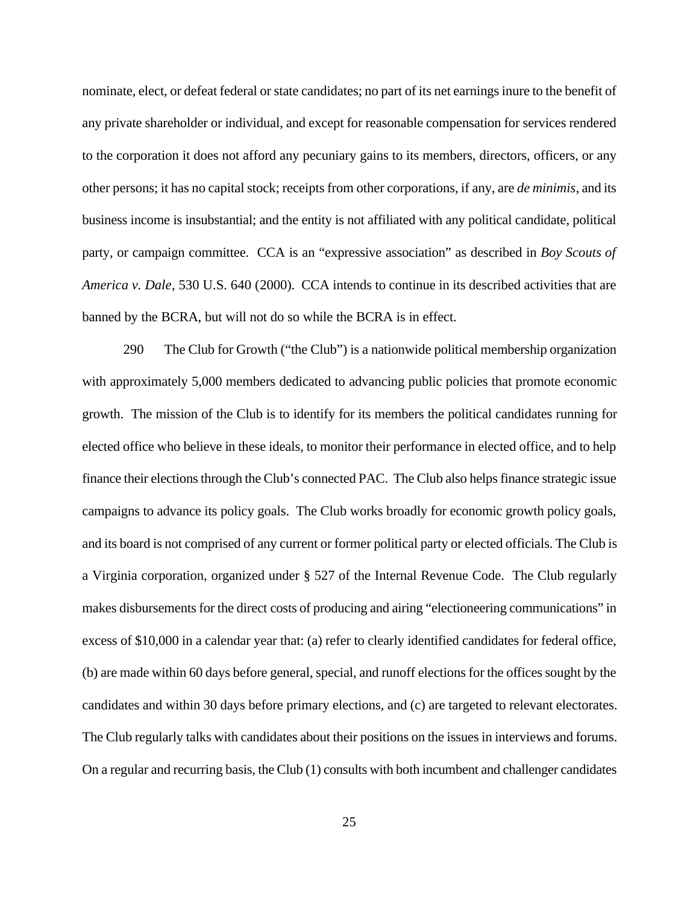nominate, elect, or defeat federal or state candidates; no part of its net earnings inure to the benefit of any private shareholder or individual, and except for reasonable compensation for services rendered to the corporation it does not afford any pecuniary gains to its members, directors, officers, or any other persons; it has no capital stock; receipts from other corporations, if any, are *de minimis*, and its business income is insubstantial; and the entity is not affiliated with any political candidate, political party, or campaign committee. CCA is an "expressive association" as described in *Boy Scouts of America v. Dale*, 530 U.S. 640 (2000). CCA intends to continue in its described activities that are banned by the BCRA, but will not do so while the BCRA is in effect.

290 The Club for Growth ("the Club") is a nationwide political membership organization with approximately 5,000 members dedicated to advancing public policies that promote economic growth. The mission of the Club is to identify for its members the political candidates running for elected office who believe in these ideals, to monitor their performance in elected office, and to help finance their elections through the Club's connected PAC. The Club also helps finance strategic issue campaigns to advance its policy goals. The Club works broadly for economic growth policy goals, and its board is not comprised of any current or former political party or elected officials. The Club is a Virginia corporation, organized under § 527 of the Internal Revenue Code. The Club regularly makes disbursements for the direct costs of producing and airing "electioneering communications" in excess of \$10,000 in a calendar year that: (a) refer to clearly identified candidates for federal office, (b) are made within 60 days before general, special, and runoff elections for the offices sought by the candidates and within 30 days before primary elections, and (c) are targeted to relevant electorates. The Club regularly talks with candidates about their positions on the issues in interviews and forums. On a regular and recurring basis, the Club (1) consults with both incumbent and challenger candidates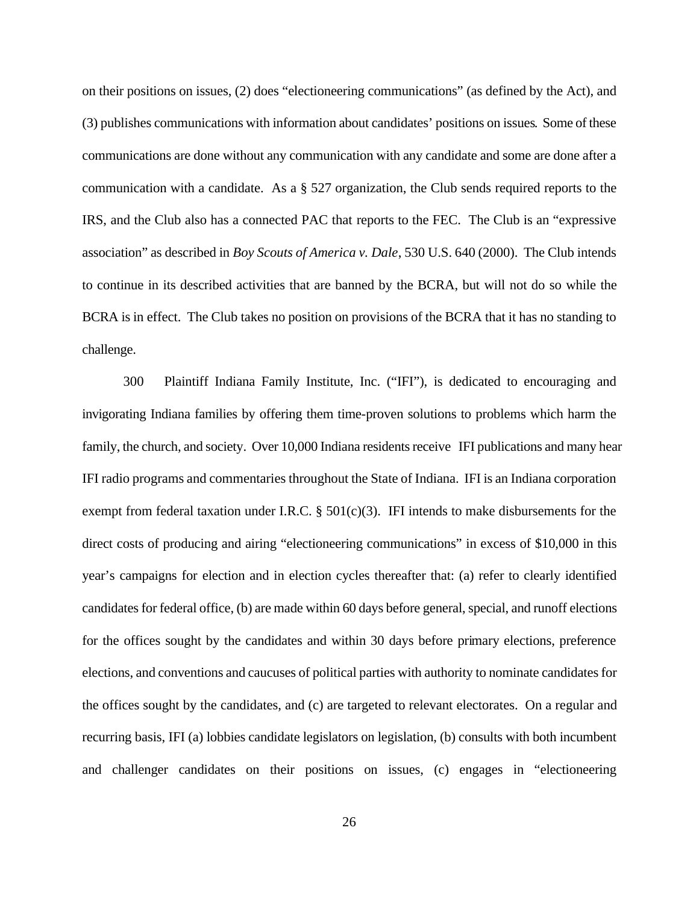on their positions on issues, (2) does "electioneering communications" (as defined by the Act), and (3) publishes communications with information about candidates' positions on issues. Some of these communications are done without any communication with any candidate and some are done after a communication with a candidate. As a § 527 organization, the Club sends required reports to the IRS, and the Club also has a connected PAC that reports to the FEC. The Club is an "expressive association" as described in *Boy Scouts of America v. Dale*, 530 U.S. 640 (2000). The Club intends to continue in its described activities that are banned by the BCRA, but will not do so while the BCRA is in effect. The Club takes no position on provisions of the BCRA that it has no standing to challenge.

300 Plaintiff Indiana Family Institute, Inc. ("IFI"), is dedicated to encouraging and invigorating Indiana families by offering them time-proven solutions to problems which harm the family, the church, and society. Over 10,000 Indiana residents receive IFI publications and many hear IFI radio programs and commentaries throughout the State of Indiana. IFI is an Indiana corporation exempt from federal taxation under I.R.C.  $\S$  501(c)(3). IFI intends to make disbursements for the direct costs of producing and airing "electioneering communications" in excess of \$10,000 in this year's campaigns for election and in election cycles thereafter that: (a) refer to clearly identified candidates for federal office, (b) are made within 60 days before general, special, and runoff elections for the offices sought by the candidates and within 30 days before primary elections, preference elections, and conventions and caucuses of political parties with authority to nominate candidates for the offices sought by the candidates, and (c) are targeted to relevant electorates. On a regular and recurring basis, IFI (a) lobbies candidate legislators on legislation, (b) consults with both incumbent and challenger candidates on their positions on issues, (c) engages in "electioneering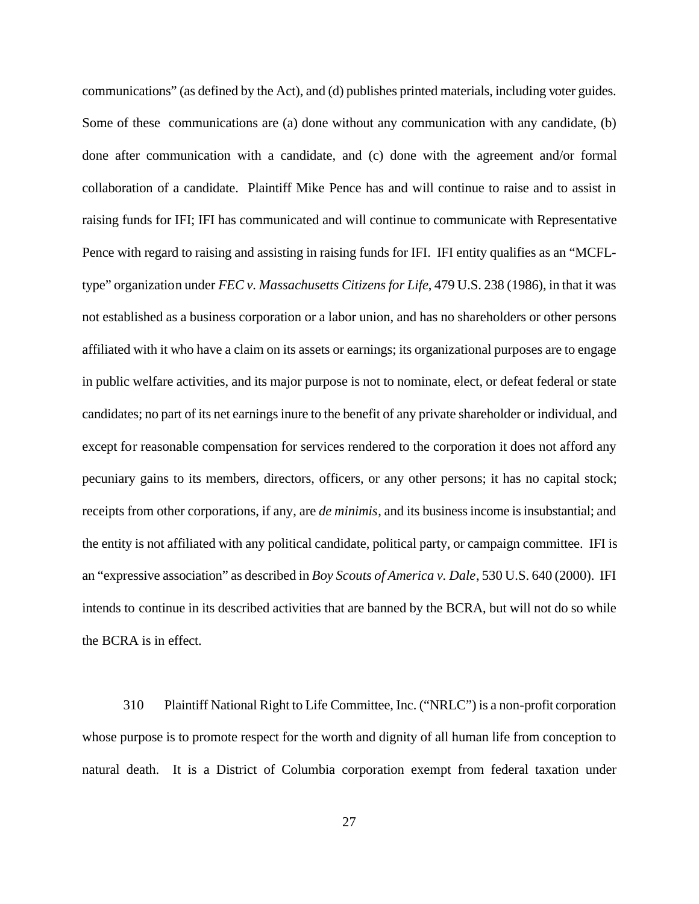communications" (as defined by the Act), and (d) publishes printed materials, including voter guides. Some of these communications are (a) done without any communication with any candidate, (b) done after communication with a candidate, and (c) done with the agreement and/or formal collaboration of a candidate. Plaintiff Mike Pence has and will continue to raise and to assist in raising funds for IFI; IFI has communicated and will continue to communicate with Representative Pence with regard to raising and assisting in raising funds for IFI. IFI entity qualifies as an "MCFLtype" organization under *FEC v. Massachusetts Citizens for Life*, 479 U.S. 238 (1986), in that it was not established as a business corporation or a labor union, and has no shareholders or other persons affiliated with it who have a claim on its assets or earnings; its organizational purposes are to engage in public welfare activities, and its major purpose is not to nominate, elect, or defeat federal or state candidates; no part of its net earnings inure to the benefit of any private shareholder or individual, and except for reasonable compensation for services rendered to the corporation it does not afford any pecuniary gains to its members, directors, officers, or any other persons; it has no capital stock; receipts from other corporations, if any, are *de minimis*, and its business income is insubstantial; and the entity is not affiliated with any political candidate, political party, or campaign committee. IFI is an "expressive association" as described in *Boy Scouts of America v. Dale*, 530 U.S. 640 (2000). IFI intends to continue in its described activities that are banned by the BCRA, but will not do so while the BCRA is in effect.

310 Plaintiff National Right to Life Committee, Inc. ("NRLC") is a non-profit corporation whose purpose is to promote respect for the worth and dignity of all human life from conception to natural death. It is a District of Columbia corporation exempt from federal taxation under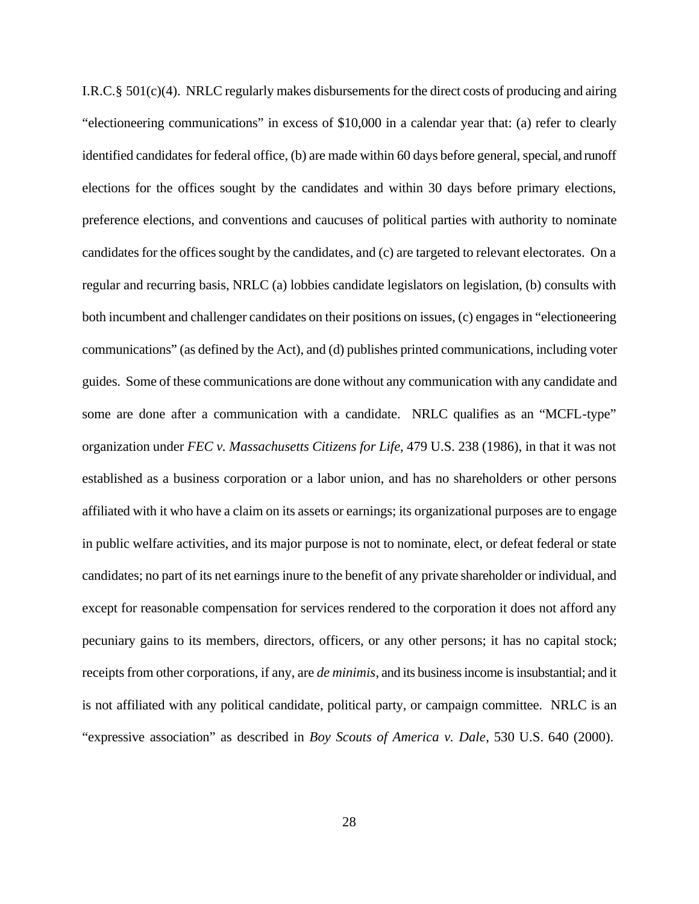I.R.C.§ 501(c)(4). NRLC regularly makes disbursements for the direct costs of producing and airing "electioneering communications" in excess of \$10,000 in a calendar year that: (a) refer to clearly identified candidates for federal office, (b) are made within 60 days before general, special, and runoff elections for the offices sought by the candidates and within 30 days before primary elections, preference elections, and conventions and caucuses of political parties with authority to nominate candidates for the offices sought by the candidates, and (c) are targeted to relevant electorates. On a regular and recurring basis, NRLC (a) lobbies candidate legislators on legislation, (b) consults with both incumbent and challenger candidates on their positions on issues, (c) engages in "electioneering communications" (as defined by the Act), and (d) publishes printed communications, including voter guides. Some of these communications are done without any communication with any candidate and some are done after a communication with a candidate. NRLC qualifies as an "MCFL-type" organization under *FEC v. Massachusetts Citizens for Life*, 479 U.S. 238 (1986), in that it was not established as a business corporation or a labor union, and has no shareholders or other persons affiliated with it who have a claim on its assets or earnings; its organizational purposes are to engage in public welfare activities, and its major purpose is not to nominate, elect, or defeat federal or state candidates; no part of its net earnings inure to the benefit of any private shareholder or individual, and except for reasonable compensation for services rendered to the corporation it does not afford any pecuniary gains to its members, directors, officers, or any other persons; it has no capital stock; receipts from other corporations, if any, are *de minimis*, and its business income is insubstantial; and it is not affiliated with any political candidate, political party, or campaign committee. NRLC is an "expressive association" as described in *Boy Scouts of America v. Dale*, 530 U.S. 640 (2000).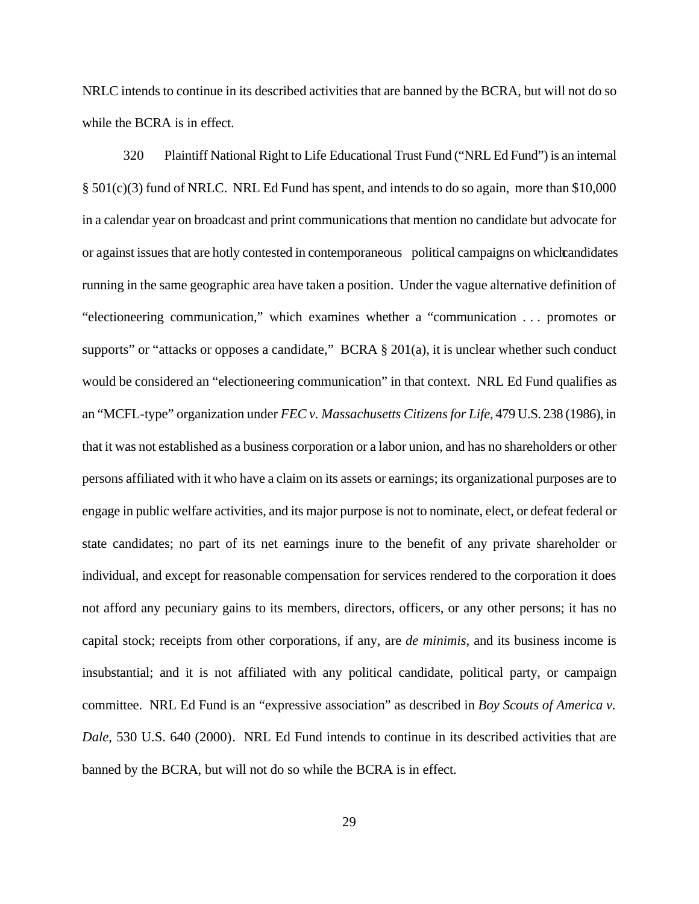NRLC intends to continue in its described activities that are banned by the BCRA, but will not do so while the BCRA is in effect.

320 Plaintiff National Right to Life Educational Trust Fund ("NRL Ed Fund") is an internal § 501(c)(3) fund of NRLC. NRL Ed Fund has spent, and intends to do so again, more than \$10,000 in a calendar year on broadcast and print communications that mention no candidate but advocate for or against issues that are hotly contested in contemporaneous political campaigns on which candidates running in the same geographic area have taken a position. Under the vague alternative definition of "electioneering communication," which examines whether a "communication . . . promotes or supports" or "attacks or opposes a candidate," BCRA § 201(a), it is unclear whether such conduct would be considered an "electioneering communication" in that context. NRL Ed Fund qualifies as an "MCFL-type" organization under *FEC v. Massachusetts Citizens for Life*, 479 U.S. 238 (1986), in that it was not established as a business corporation or a labor union, and has no shareholders or other persons affiliated with it who have a claim on its assets or earnings; its organizational purposes are to engage in public welfare activities, and its major purpose is not to nominate, elect, or defeat federal or state candidates; no part of its net earnings inure to the benefit of any private shareholder or individual, and except for reasonable compensation for services rendered to the corporation it does not afford any pecuniary gains to its members, directors, officers, or any other persons; it has no capital stock; receipts from other corporations, if any, are *de minimis*, and its business income is insubstantial; and it is not affiliated with any political candidate, political party, or campaign committee. NRL Ed Fund is an "expressive association" as described in *Boy Scouts of America v. Dale*, 530 U.S. 640 (2000). NRL Ed Fund intends to continue in its described activities that are banned by the BCRA, but will not do so while the BCRA is in effect.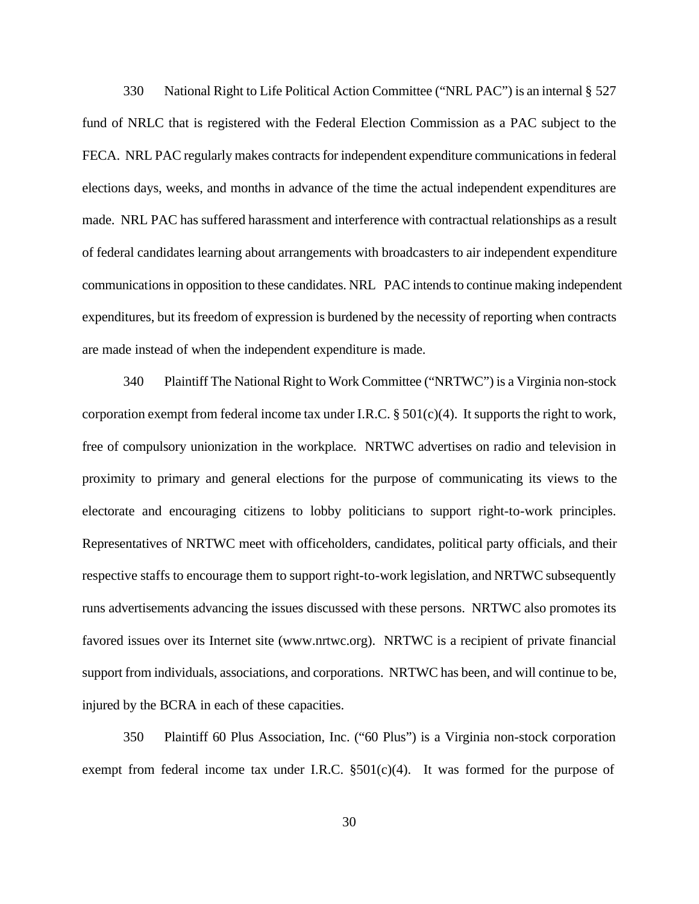330 National Right to Life Political Action Committee ("NRL PAC") is an internal § 527 fund of NRLC that is registered with the Federal Election Commission as a PAC subject to the FECA. NRL PAC regularly makes contracts for independent expenditure communications in federal elections days, weeks, and months in advance of the time the actual independent expenditures are made. NRL PAC has suffered harassment and interference with contractual relationships as a result of federal candidates learning about arrangements with broadcasters to air independent expenditure communications in opposition to these candidates. NRL PAC intends to continue making independent expenditures, but its freedom of expression is burdened by the necessity of reporting when contracts are made instead of when the independent expenditure is made.

340 Plaintiff The National Right to Work Committee ("NRTWC") is a Virginia non-stock corporation exempt from federal income tax under I.R.C. § 501(c)(4). It supports the right to work, free of compulsory unionization in the workplace. NRTWC advertises on radio and television in proximity to primary and general elections for the purpose of communicating its views to the electorate and encouraging citizens to lobby politicians to support right-to-work principles. Representatives of NRTWC meet with officeholders, candidates, political party officials, and their respective staffs to encourage them to support right-to-work legislation, and NRTWC subsequently runs advertisements advancing the issues discussed with these persons. NRTWC also promotes its favored issues over its Internet site (www.nrtwc.org). NRTWC is a recipient of private financial support from individuals, associations, and corporations. NRTWC has been, and will continue to be, injured by the BCRA in each of these capacities.

350 Plaintiff 60 Plus Association, Inc. ("60 Plus") is a Virginia non-stock corporation exempt from federal income tax under I.R.C.  $\S501(c)(4)$ . It was formed for the purpose of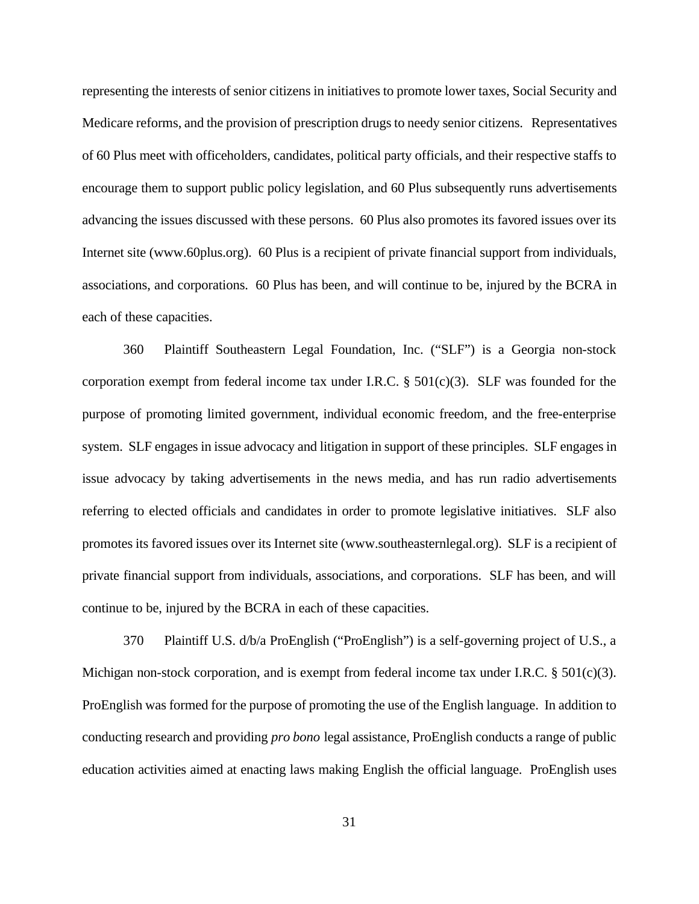representing the interests of senior citizens in initiatives to promote lower taxes, Social Security and Medicare reforms, and the provision of prescription drugs to needy senior citizens. Representatives of 60 Plus meet with officeholders, candidates, political party officials, and their respective staffs to encourage them to support public policy legislation, and 60 Plus subsequently runs advertisements advancing the issues discussed with these persons. 60 Plus also promotes its favored issues over its Internet site (www.60plus.org). 60 Plus is a recipient of private financial support from individuals, associations, and corporations. 60 Plus has been, and will continue to be, injured by the BCRA in each of these capacities.

360 Plaintiff Southeastern Legal Foundation, Inc. ("SLF") is a Georgia non-stock corporation exempt from federal income tax under I.R.C.  $\S$  501(c)(3). SLF was founded for the purpose of promoting limited government, individual economic freedom, and the free-enterprise system. SLF engages in issue advocacy and litigation in support of these principles. SLF engages in issue advocacy by taking advertisements in the news media, and has run radio advertisements referring to elected officials and candidates in order to promote legislative initiatives. SLF also promotes its favored issues over its Internet site (www.southeasternlegal.org). SLF is a recipient of private financial support from individuals, associations, and corporations. SLF has been, and will continue to be, injured by the BCRA in each of these capacities.

370 Plaintiff U.S. d/b/a ProEnglish ("ProEnglish") is a self-governing project of U.S., a Michigan non-stock corporation, and is exempt from federal income tax under I.R.C. § 501(c)(3). ProEnglish was formed for the purpose of promoting the use of the English language. In addition to conducting research and providing *pro bono* legal assistance, ProEnglish conducts a range of public education activities aimed at enacting laws making English the official language. ProEnglish uses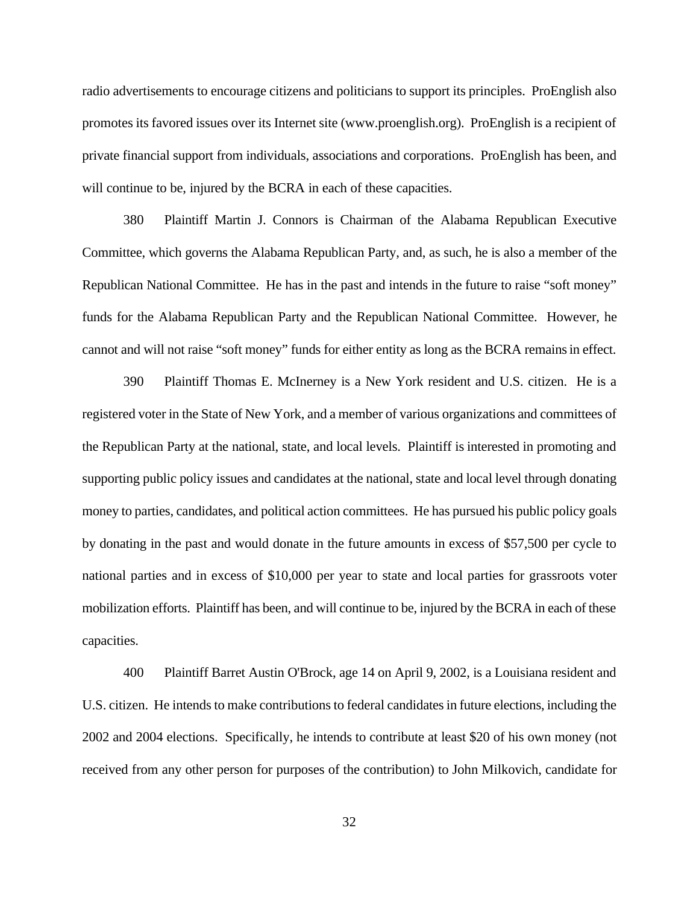radio advertisements to encourage citizens and politicians to support its principles. ProEnglish also promotes its favored issues over its Internet site (www.proenglish.org). ProEnglish is a recipient of private financial support from individuals, associations and corporations. ProEnglish has been, and will continue to be, injured by the BCRA in each of these capacities.

380 Plaintiff Martin J. Connors is Chairman of the Alabama Republican Executive Committee, which governs the Alabama Republican Party, and, as such, he is also a member of the Republican National Committee. He has in the past and intends in the future to raise "soft money" funds for the Alabama Republican Party and the Republican National Committee. However, he cannot and will not raise "soft money" funds for either entity as long as the BCRA remains in effect.

390 Plaintiff Thomas E. McInerney is a New York resident and U.S. citizen. He is a registered voter in the State of New York, and a member of various organizations and committees of the Republican Party at the national, state, and local levels. Plaintiff is interested in promoting and supporting public policy issues and candidates at the national, state and local level through donating money to parties, candidates, and political action committees. He has pursued his public policy goals by donating in the past and would donate in the future amounts in excess of \$57,500 per cycle to national parties and in excess of \$10,000 per year to state and local parties for grassroots voter mobilization efforts. Plaintiff has been, and will continue to be, injured by the BCRA in each of these capacities.

400 Plaintiff Barret Austin O'Brock, age 14 on April 9, 2002, is a Louisiana resident and U.S. citizen. He intends to make contributions to federal candidates in future elections, including the 2002 and 2004 elections. Specifically, he intends to contribute at least \$20 of his own money (not received from any other person for purposes of the contribution) to John Milkovich, candidate for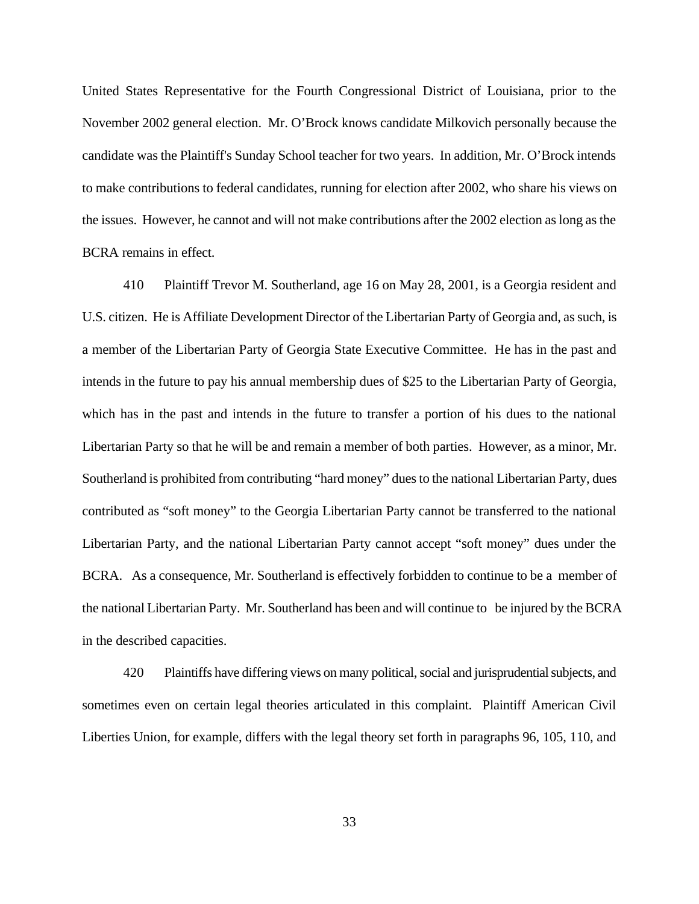United States Representative for the Fourth Congressional District of Louisiana, prior to the November 2002 general election. Mr. O'Brock knows candidate Milkovich personally because the candidate was the Plaintiff's Sunday School teacher for two years. In addition, Mr. O'Brock intends to make contributions to federal candidates, running for election after 2002, who share his views on the issues. However, he cannot and will not make contributions after the 2002 election as long as the BCRA remains in effect.

410 Plaintiff Trevor M. Southerland, age 16 on May 28, 2001, is a Georgia resident and U.S. citizen. He is Affiliate Development Director of the Libertarian Party of Georgia and, as such, is a member of the Libertarian Party of Georgia State Executive Committee. He has in the past and intends in the future to pay his annual membership dues of \$25 to the Libertarian Party of Georgia, which has in the past and intends in the future to transfer a portion of his dues to the national Libertarian Party so that he will be and remain a member of both parties. However, as a minor, Mr. Southerland is prohibited from contributing "hard money" dues to the national Libertarian Party, dues contributed as "soft money" to the Georgia Libertarian Party cannot be transferred to the national Libertarian Party, and the national Libertarian Party cannot accept "soft money" dues under the BCRA. As a consequence, Mr. Southerland is effectively forbidden to continue to be a member of the national Libertarian Party. Mr. Southerland has been and will continue to be injured by the BCRA in the described capacities.

420 Plaintiffs have differing views on many political, social and jurisprudential subjects, and sometimes even on certain legal theories articulated in this complaint. Plaintiff American Civil Liberties Union, for example, differs with the legal theory set forth in paragraphs 96, 105, 110, and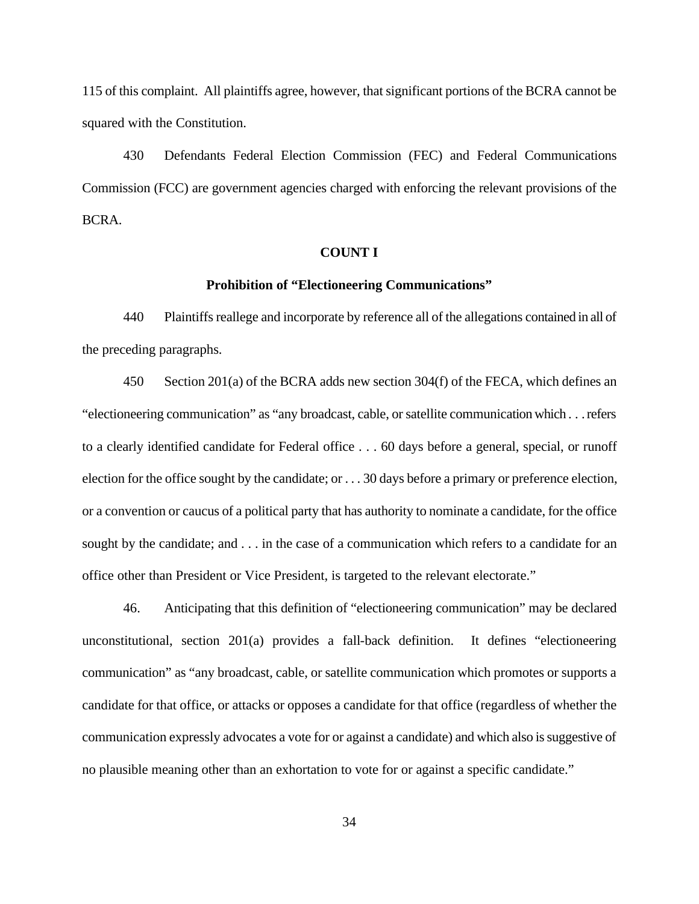115 of this complaint. All plaintiffs agree, however, that significant portions of the BCRA cannot be squared with the Constitution.

430 Defendants Federal Election Commission (FEC) and Federal Communications Commission (FCC) are government agencies charged with enforcing the relevant provisions of the BCRA.

# **COUNT I**

### **Prohibition of "Electioneering Communications"**

440 Plaintiffs reallege and incorporate by reference all of the allegations contained in all of the preceding paragraphs.

450 Section 201(a) of the BCRA adds new section 304(f) of the FECA, which defines an "electioneering communication" as "any broadcast, cable, or satellite communication which . . . refers to a clearly identified candidate for Federal office . . . 60 days before a general, special, or runoff election for the office sought by the candidate; or . . . 30 days before a primary or preference election, or a convention or caucus of a political party that has authority to nominate a candidate, for the office sought by the candidate; and . . . in the case of a communication which refers to a candidate for an office other than President or Vice President, is targeted to the relevant electorate."

46. Anticipating that this definition of "electioneering communication" may be declared unconstitutional, section 201(a) provides a fall-back definition. It defines "electioneering communication" as "any broadcast, cable, or satellite communication which promotes or supports a candidate for that office, or attacks or opposes a candidate for that office (regardless of whether the communication expressly advocates a vote for or against a candidate) and which also is suggestive of no plausible meaning other than an exhortation to vote for or against a specific candidate."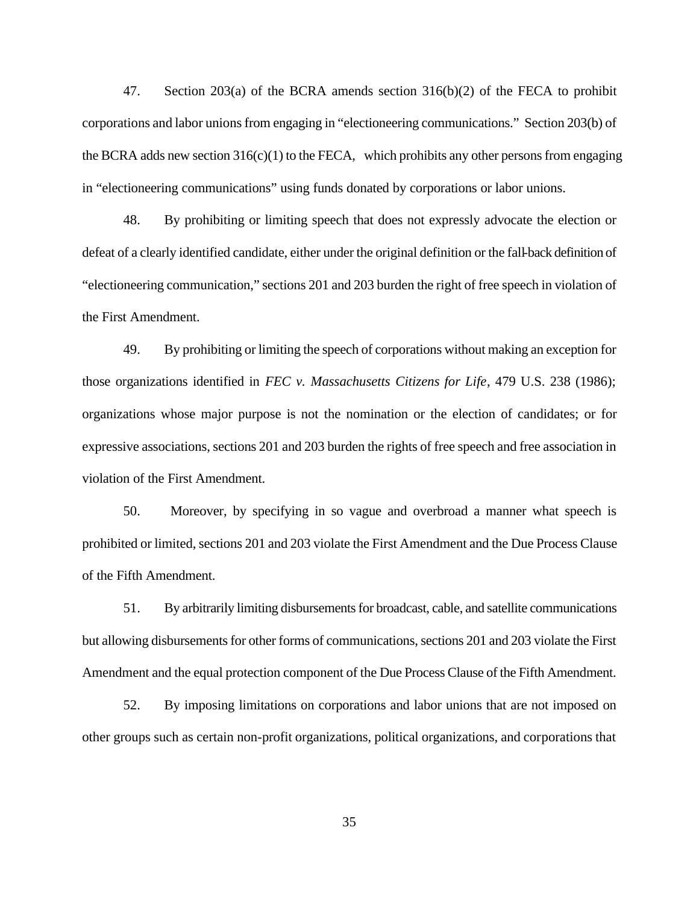47. Section 203(a) of the BCRA amends section 316(b)(2) of the FECA to prohibit corporations and labor unions from engaging in "electioneering communications." Section 203(b) of the BCRA adds new section  $316(c)(1)$  to the FECA, which prohibits any other persons from engaging in "electioneering communications" using funds donated by corporations or labor unions.

48. By prohibiting or limiting speech that does not expressly advocate the election or defeat of a clearly identified candidate, either under the original definition or the fall-back definition of "electioneering communication," sections 201 and 203 burden the right of free speech in violation of the First Amendment.

49. By prohibiting or limiting the speech of corporations without making an exception for those organizations identified in *FEC v. Massachusetts Citizens for Life*, 479 U.S. 238 (1986); organizations whose major purpose is not the nomination or the election of candidates; or for expressive associations, sections 201 and 203 burden the rights of free speech and free association in violation of the First Amendment.

50. Moreover, by specifying in so vague and overbroad a manner what speech is prohibited or limited, sections 201 and 203 violate the First Amendment and the Due Process Clause of the Fifth Amendment.

51. By arbitrarily limiting disbursements for broadcast, cable, and satellite communications but allowing disbursements for other forms of communications, sections 201 and 203 violate the First Amendment and the equal protection component of the Due Process Clause of the Fifth Amendment.

52. By imposing limitations on corporations and labor unions that are not imposed on other groups such as certain non-profit organizations, political organizations, and corporations that

35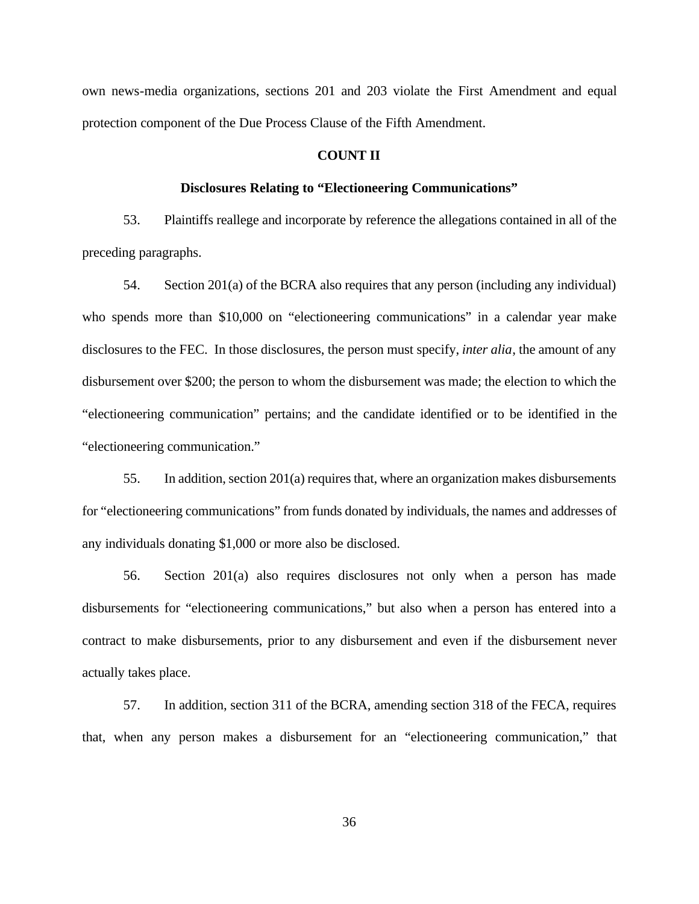own news-media organizations, sections 201 and 203 violate the First Amendment and equal protection component of the Due Process Clause of the Fifth Amendment.

#### **COUNT II**

# **Disclosures Relating to "Electioneering Communications"**

53. Plaintiffs reallege and incorporate by reference the allegations contained in all of the preceding paragraphs.

54. Section 201(a) of the BCRA also requires that any person (including any individual) who spends more than \$10,000 on "electioneering communications" in a calendar year make disclosures to the FEC. In those disclosures, the person must specify, *inter alia*, the amount of any disbursement over \$200; the person to whom the disbursement was made; the election to which the "electioneering communication" pertains; and the candidate identified or to be identified in the "electioneering communication."

55. In addition, section 201(a) requires that, where an organization makes disbursements for "electioneering communications" from funds donated by individuals, the names and addresses of any individuals donating \$1,000 or more also be disclosed.

56. Section 201(a) also requires disclosures not only when a person has made disbursements for "electioneering communications," but also when a person has entered into a contract to make disbursements, prior to any disbursement and even if the disbursement never actually takes place.

57. In addition, section 311 of the BCRA, amending section 318 of the FECA, requires that, when any person makes a disbursement for an "electioneering communication," that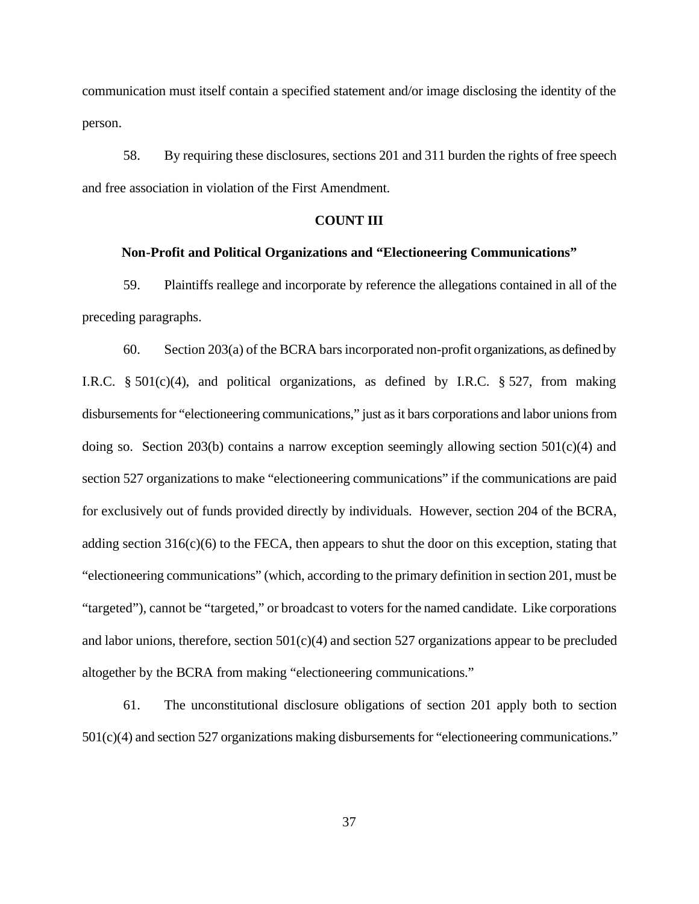communication must itself contain a specified statement and/or image disclosing the identity of the person.

58. By requiring these disclosures, sections 201 and 311 burden the rights of free speech and free association in violation of the First Amendment.

# **COUNT III**

# **Non-Profit and Political Organizations and "Electioneering Communications"**

59. Plaintiffs reallege and incorporate by reference the allegations contained in all of the preceding paragraphs.

60. Section 203(a) of the BCRA bars incorporated non-profit organizations, as defined by I.R.C. § 501(c)(4), and political organizations, as defined by I.R.C. § 527, from making disbursements for "electioneering communications," just as it bars corporations and labor unions from doing so. Section 203(b) contains a narrow exception seemingly allowing section 501(c)(4) and section 527 organizations to make "electioneering communications" if the communications are paid for exclusively out of funds provided directly by individuals. However, section 204 of the BCRA, adding section  $316(c)(6)$  to the FECA, then appears to shut the door on this exception, stating that "electioneering communications" (which, according to the primary definition in section 201, must be "targeted"), cannot be "targeted," or broadcast to voters for the named candidate. Like corporations and labor unions, therefore, section  $501(c)(4)$  and section 527 organizations appear to be precluded altogether by the BCRA from making "electioneering communications."

61. The unconstitutional disclosure obligations of section 201 apply both to section 501(c)(4) and section 527 organizations making disbursements for "electioneering communications."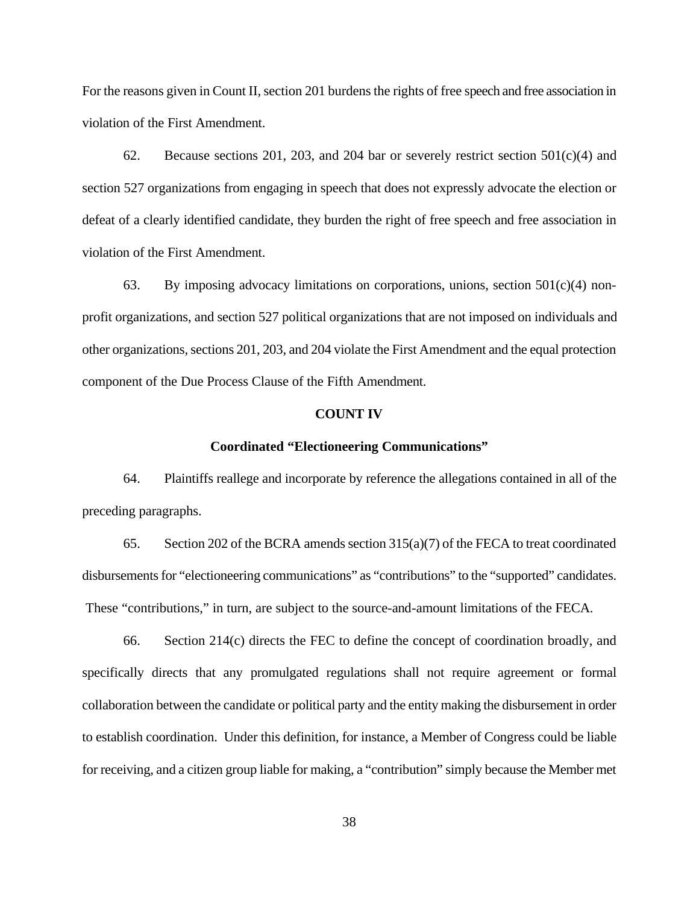For the reasons given in Count II, section 201 burdens the rights of free speech and free association in violation of the First Amendment.

62. Because sections 201, 203, and 204 bar or severely restrict section  $501(c)(4)$  and section 527 organizations from engaging in speech that does not expressly advocate the election or defeat of a clearly identified candidate, they burden the right of free speech and free association in violation of the First Amendment.

63. By imposing advocacy limitations on corporations, unions, section  $501(c)(4)$  nonprofit organizations, and section 527 political organizations that are not imposed on individuals and other organizations, sections 201, 203, and 204 violate the First Amendment and the equal protection component of the Due Process Clause of the Fifth Amendment.

# **COUNT IV**

# **Coordinated "Electioneering Communications"**

64. Plaintiffs reallege and incorporate by reference the allegations contained in all of the preceding paragraphs.

65. Section 202 of the BCRA amends section  $315(a)(7)$  of the FECA to treat coordinated disbursements for "electioneering communications" as "contributions" to the "supported" candidates. These "contributions," in turn, are subject to the source-and-amount limitations of the FECA.

66. Section 214(c) directs the FEC to define the concept of coordination broadly, and specifically directs that any promulgated regulations shall not require agreement or formal collaboration between the candidate or political party and the entity making the disbursement in order to establish coordination. Under this definition, for instance, a Member of Congress could be liable for receiving, and a citizen group liable for making, a "contribution" simply because the Member met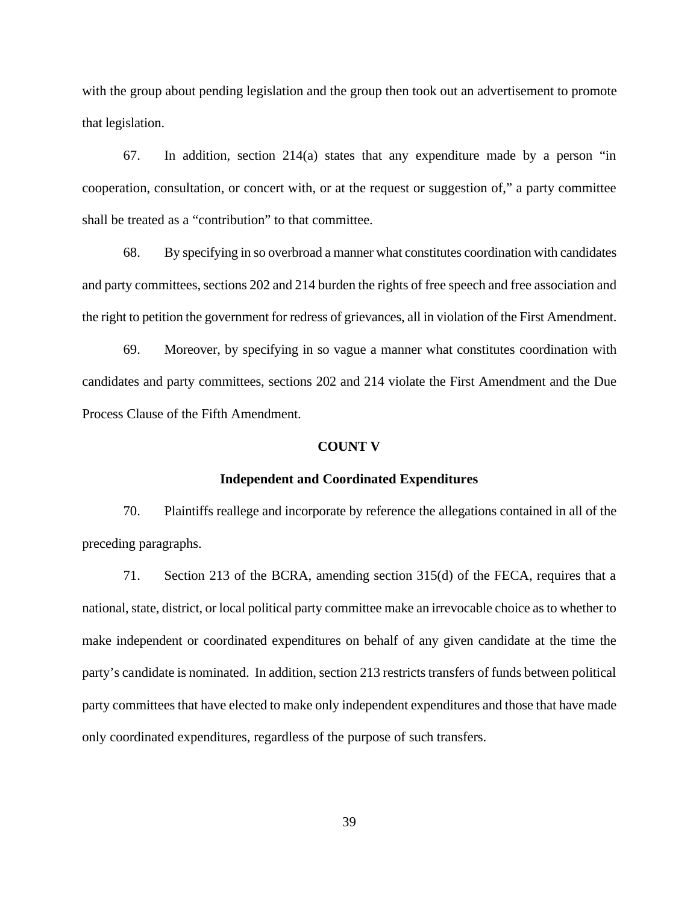with the group about pending legislation and the group then took out an advertisement to promote that legislation.

67. In addition, section 214(a) states that any expenditure made by a person "in cooperation, consultation, or concert with, or at the request or suggestion of," a party committee shall be treated as a "contribution" to that committee.

68. By specifying in so overbroad a manner what constitutes coordination with candidates and party committees, sections 202 and 214 burden the rights of free speech and free association and the right to petition the government for redress of grievances, all in violation of the First Amendment.

69. Moreover, by specifying in so vague a manner what constitutes coordination with candidates and party committees, sections 202 and 214 violate the First Amendment and the Due Process Clause of the Fifth Amendment.

# **COUNT V**

### **Independent and Coordinated Expenditures**

70. Plaintiffs reallege and incorporate by reference the allegations contained in all of the preceding paragraphs.

71. Section 213 of the BCRA, amending section 315(d) of the FECA, requires that a national, state, district, or local political party committee make an irrevocable choice as to whether to make independent or coordinated expenditures on behalf of any given candidate at the time the party's candidate is nominated. In addition, section 213 restricts transfers of funds between political party committees that have elected to make only independent expenditures and those that have made only coordinated expenditures, regardless of the purpose of such transfers.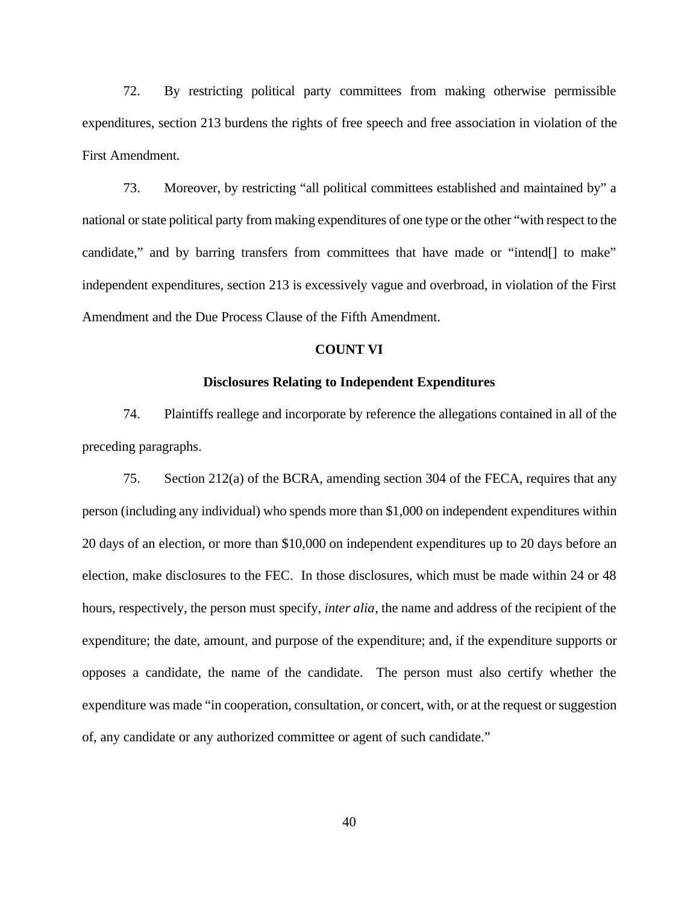72. By restricting political party committees from making otherwise permissible expenditures, section 213 burdens the rights of free speech and free association in violation of the First Amendment.

73. Moreover, by restricting "all political committees established and maintained by" a national or state political party from making expenditures of one type or the other "with respect to the candidate," and by barring transfers from committees that have made or "intend[] to make" independent expenditures, section 213 is excessively vague and overbroad, in violation of the First Amendment and the Due Process Clause of the Fifth Amendment.

### **COUNT VI**

# **Disclosures Relating to Independent Expenditures**

74. Plaintiffs reallege and incorporate by reference the allegations contained in all of the preceding paragraphs.

75. Section 212(a) of the BCRA, amending section 304 of the FECA, requires that any person (including any individual) who spends more than \$1,000 on independent expenditures within 20 days of an election, or more than \$10,000 on independent expenditures up to 20 days before an election, make disclosures to the FEC. In those disclosures, which must be made within 24 or 48 hours, respectively, the person must specify, *inter alia*, the name and address of the recipient of the expenditure; the date, amount, and purpose of the expenditure; and, if the expenditure supports or opposes a candidate, the name of the candidate. The person must also certify whether the expenditure was made "in cooperation, consultation, or concert, with, or at the request or suggestion of, any candidate or any authorized committee or agent of such candidate."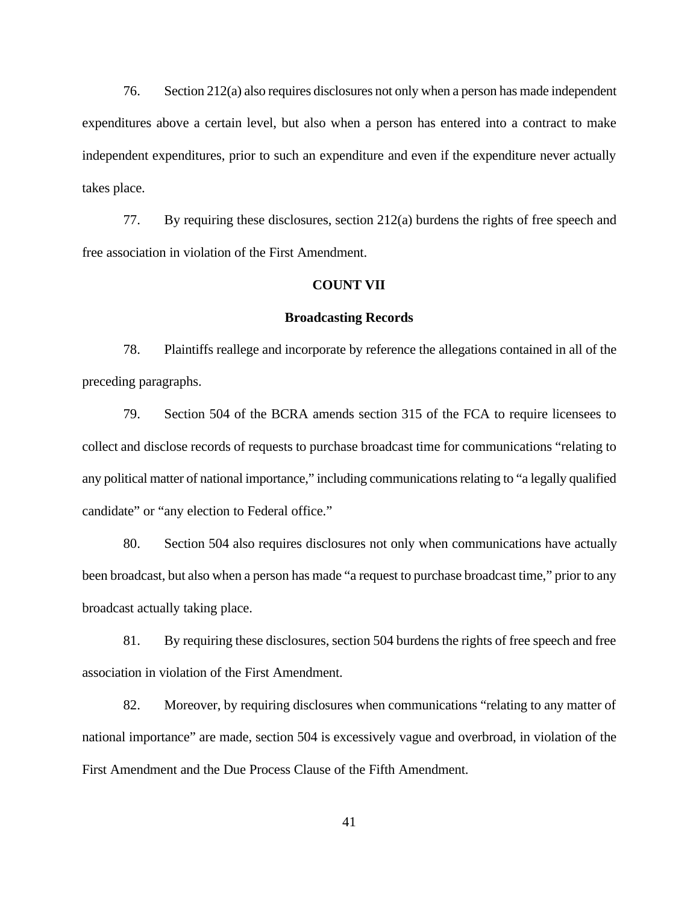76. Section 212(a) also requires disclosures not only when a person has made independent expenditures above a certain level, but also when a person has entered into a contract to make independent expenditures, prior to such an expenditure and even if the expenditure never actually takes place.

77. By requiring these disclosures, section 212(a) burdens the rights of free speech and free association in violation of the First Amendment.

# **COUNT VII**

### **Broadcasting Records**

78. Plaintiffs reallege and incorporate by reference the allegations contained in all of the preceding paragraphs.

79. Section 504 of the BCRA amends section 315 of the FCA to require licensees to collect and disclose records of requests to purchase broadcast time for communications "relating to any political matter of national importance," including communications relating to "a legally qualified candidate" or "any election to Federal office."

80. Section 504 also requires disclosures not only when communications have actually been broadcast, but also when a person has made "a request to purchase broadcast time," prior to any broadcast actually taking place.

81. By requiring these disclosures, section 504 burdens the rights of free speech and free association in violation of the First Amendment.

82. Moreover, by requiring disclosures when communications "relating to any matter of national importance" are made, section 504 is excessively vague and overbroad, in violation of the First Amendment and the Due Process Clause of the Fifth Amendment.

41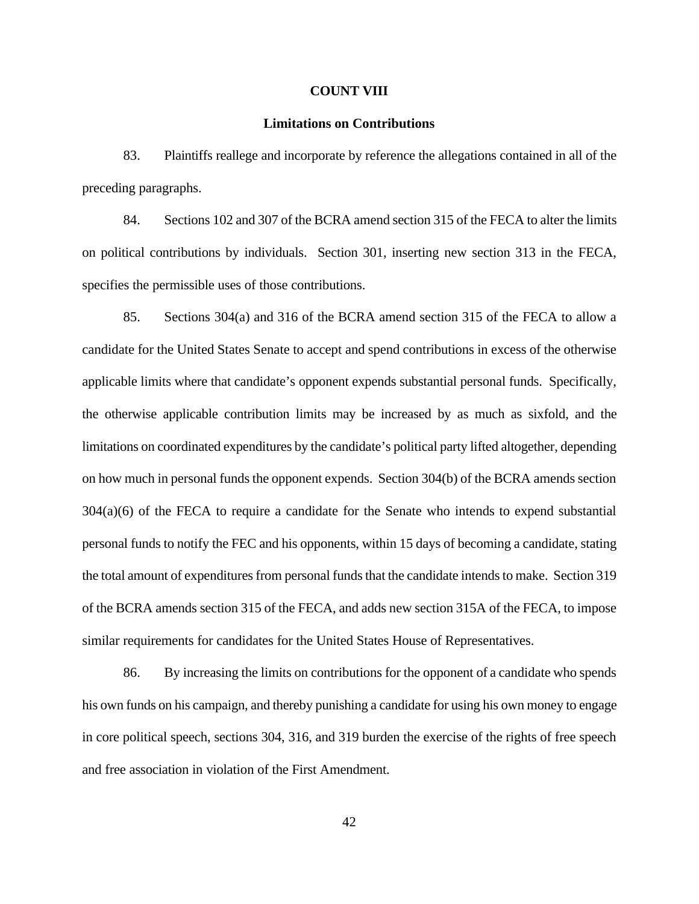#### **COUNT VIII**

#### **Limitations on Contributions**

83. Plaintiffs reallege and incorporate by reference the allegations contained in all of the preceding paragraphs.

84. Sections 102 and 307 of the BCRA amend section 315 of the FECA to alter the limits on political contributions by individuals. Section 301, inserting new section 313 in the FECA, specifies the permissible uses of those contributions.

85. Sections 304(a) and 316 of the BCRA amend section 315 of the FECA to allow a candidate for the United States Senate to accept and spend contributions in excess of the otherwise applicable limits where that candidate's opponent expends substantial personal funds. Specifically, the otherwise applicable contribution limits may be increased by as much as sixfold, and the limitations on coordinated expenditures by the candidate's political party lifted altogether, depending on how much in personal funds the opponent expends. Section 304(b) of the BCRA amends section 304(a)(6) of the FECA to require a candidate for the Senate who intends to expend substantial personal funds to notify the FEC and his opponents, within 15 days of becoming a candidate, stating the total amount of expenditures from personal funds that the candidate intends to make. Section 319 of the BCRA amends section 315 of the FECA, and adds new section 315A of the FECA, to impose similar requirements for candidates for the United States House of Representatives.

86. By increasing the limits on contributions for the opponent of a candidate who spends his own funds on his campaign, and thereby punishing a candidate for using his own money to engage in core political speech, sections 304, 316, and 319 burden the exercise of the rights of free speech and free association in violation of the First Amendment.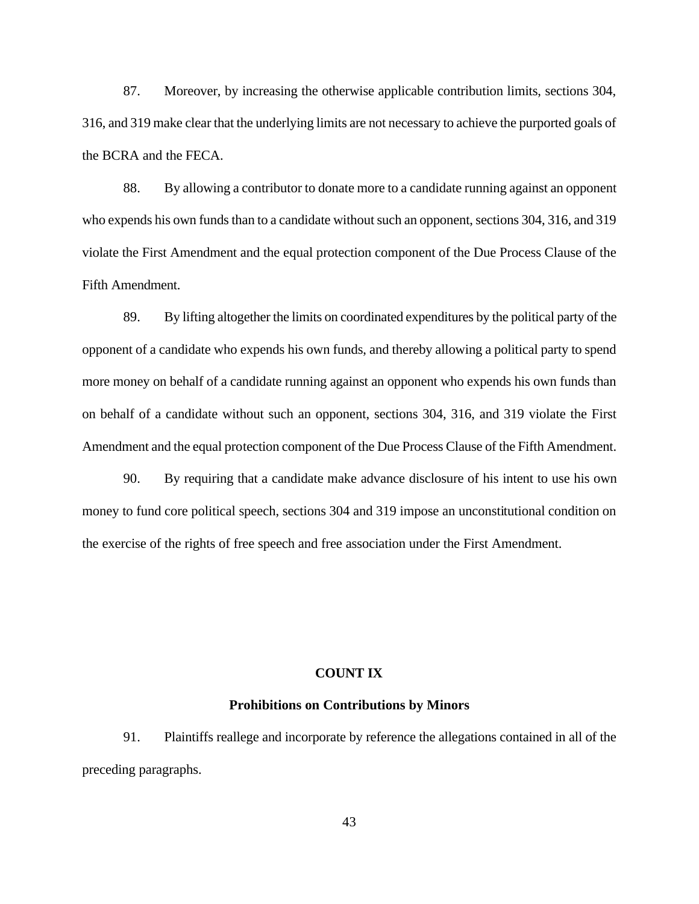87. Moreover, by increasing the otherwise applicable contribution limits, sections 304, 316, and 319 make clear that the underlying limits are not necessary to achieve the purported goals of the BCRA and the FECA.

88. By allowing a contributor to donate more to a candidate running against an opponent who expends his own funds than to a candidate without such an opponent, sections 304, 316, and 319 violate the First Amendment and the equal protection component of the Due Process Clause of the Fifth Amendment.

89. By lifting altogether the limits on coordinated expenditures by the political party of the opponent of a candidate who expends his own funds, and thereby allowing a political party to spend more money on behalf of a candidate running against an opponent who expends his own funds than on behalf of a candidate without such an opponent, sections 304, 316, and 319 violate the First Amendment and the equal protection component of the Due Process Clause of the Fifth Amendment.

90. By requiring that a candidate make advance disclosure of his intent to use his own money to fund core political speech, sections 304 and 319 impose an unconstitutional condition on the exercise of the rights of free speech and free association under the First Amendment.

### **COUNT IX**

# **Prohibitions on Contributions by Minors**

91. Plaintiffs reallege and incorporate by reference the allegations contained in all of the preceding paragraphs.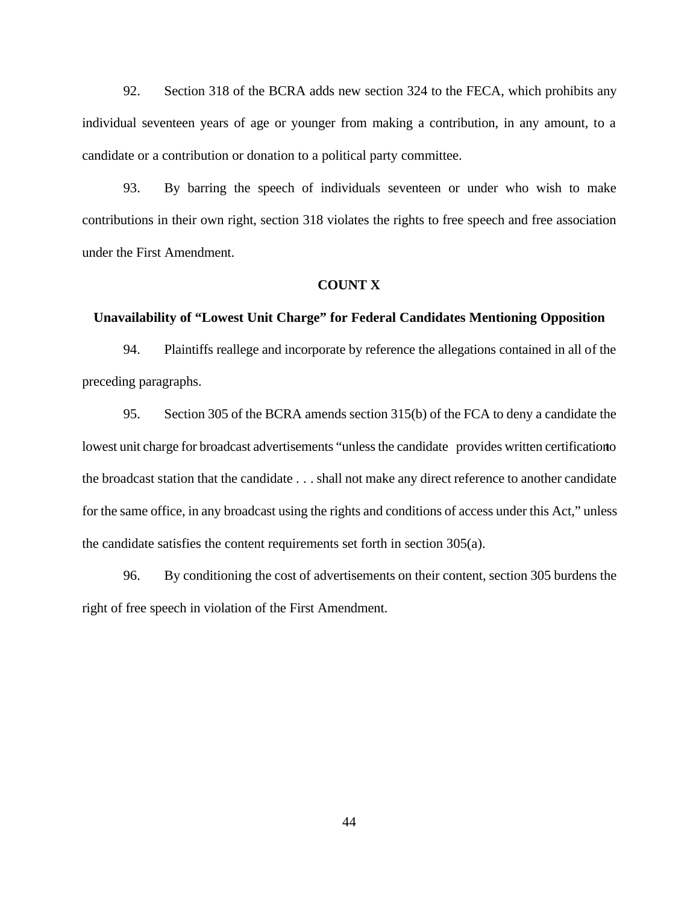92. Section 318 of the BCRA adds new section 324 to the FECA, which prohibits any individual seventeen years of age or younger from making a contribution, in any amount, to a candidate or a contribution or donation to a political party committee.

93. By barring the speech of individuals seventeen or under who wish to make contributions in their own right, section 318 violates the rights to free speech and free association under the First Amendment.

### **COUNT X**

### **Unavailability of "Lowest Unit Charge" for Federal Candidates Mentioning Opposition**

94. Plaintiffs reallege and incorporate by reference the allegations contained in all of the preceding paragraphs.

95. Section 305 of the BCRA amends section 315(b) of the FCA to deny a candidate the lowest unit charge for broadcast advertisements "unless the candidate provides written certification to the broadcast station that the candidate . . . shall not make any direct reference to another candidate for the same office, in any broadcast using the rights and conditions of access under this Act," unless the candidate satisfies the content requirements set forth in section 305(a).

96. By conditioning the cost of advertisements on their content, section 305 burdens the right of free speech in violation of the First Amendment.

44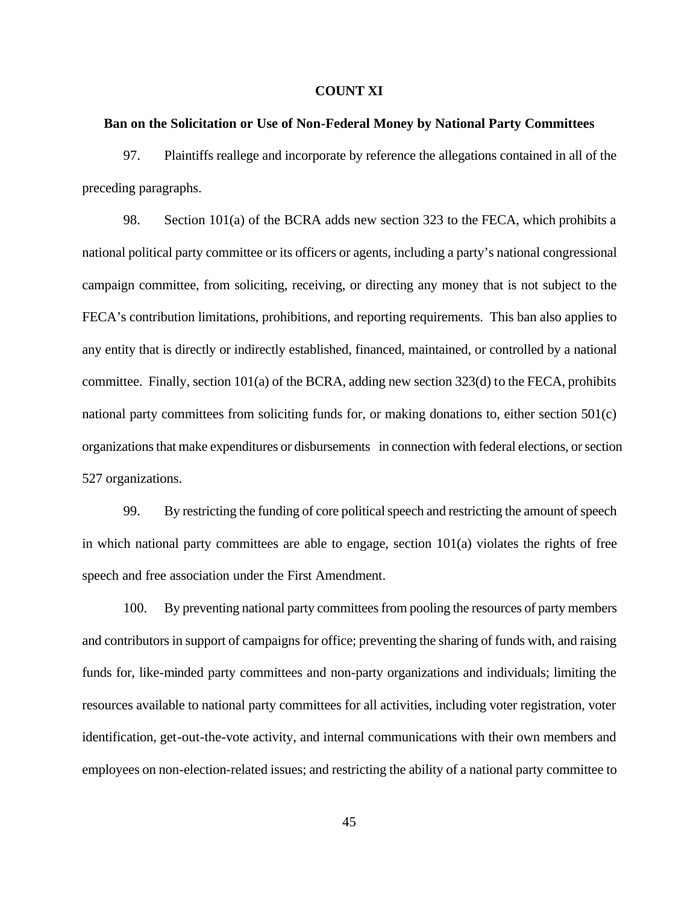#### **COUNT XI**

### **Ban on the Solicitation or Use of Non-Federal Money by National Party Committees**

97. Plaintiffs reallege and incorporate by reference the allegations contained in all of the preceding paragraphs.

98. Section 101(a) of the BCRA adds new section 323 to the FECA, which prohibits a national political party committee or its officers or agents, including a party's national congressional campaign committee, from soliciting, receiving, or directing any money that is not subject to the FECA's contribution limitations, prohibitions, and reporting requirements. This ban also applies to any entity that is directly or indirectly established, financed, maintained, or controlled by a national committee. Finally, section 101(a) of the BCRA, adding new section 323(d) to the FECA, prohibits national party committees from soliciting funds for, or making donations to, either section 501(c) organizations that make expenditures or disbursements in connection with federal elections, or section 527 organizations.

99. By restricting the funding of core political speech and restricting the amount of speech in which national party committees are able to engage, section 101(a) violates the rights of free speech and free association under the First Amendment.

100. By preventing national party committees from pooling the resources of party members and contributors in support of campaigns for office; preventing the sharing of funds with, and raising funds for, like-minded party committees and non-party organizations and individuals; limiting the resources available to national party committees for all activities, including voter registration, voter identification, get-out-the-vote activity, and internal communications with their own members and employees on non-election-related issues; and restricting the ability of a national party committee to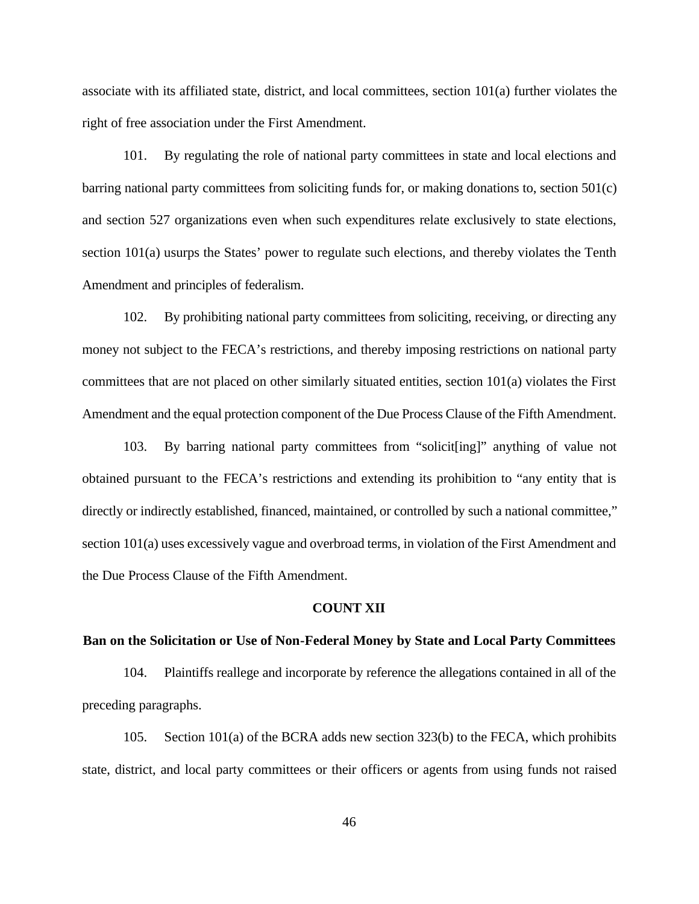associate with its affiliated state, district, and local committees, section 101(a) further violates the right of free association under the First Amendment.

101. By regulating the role of national party committees in state and local elections and barring national party committees from soliciting funds for, or making donations to, section 501(c) and section 527 organizations even when such expenditures relate exclusively to state elections, section 101(a) usurps the States' power to regulate such elections, and thereby violates the Tenth Amendment and principles of federalism.

102. By prohibiting national party committees from soliciting, receiving, or directing any money not subject to the FECA's restrictions, and thereby imposing restrictions on national party committees that are not placed on other similarly situated entities, section 101(a) violates the First Amendment and the equal protection component of the Due Process Clause of the Fifth Amendment.

103. By barring national party committees from "solicit[ing]" anything of value not obtained pursuant to the FECA's restrictions and extending its prohibition to "any entity that is directly or indirectly established, financed, maintained, or controlled by such a national committee," section 101(a) uses excessively vague and overbroad terms, in violation of the First Amendment and the Due Process Clause of the Fifth Amendment.

### **COUNT XII**

## **Ban on the Solicitation or Use of Non-Federal Money by State and Local Party Committees**

104. Plaintiffs reallege and incorporate by reference the allegations contained in all of the preceding paragraphs.

105. Section 101(a) of the BCRA adds new section 323(b) to the FECA, which prohibits state, district, and local party committees or their officers or agents from using funds not raised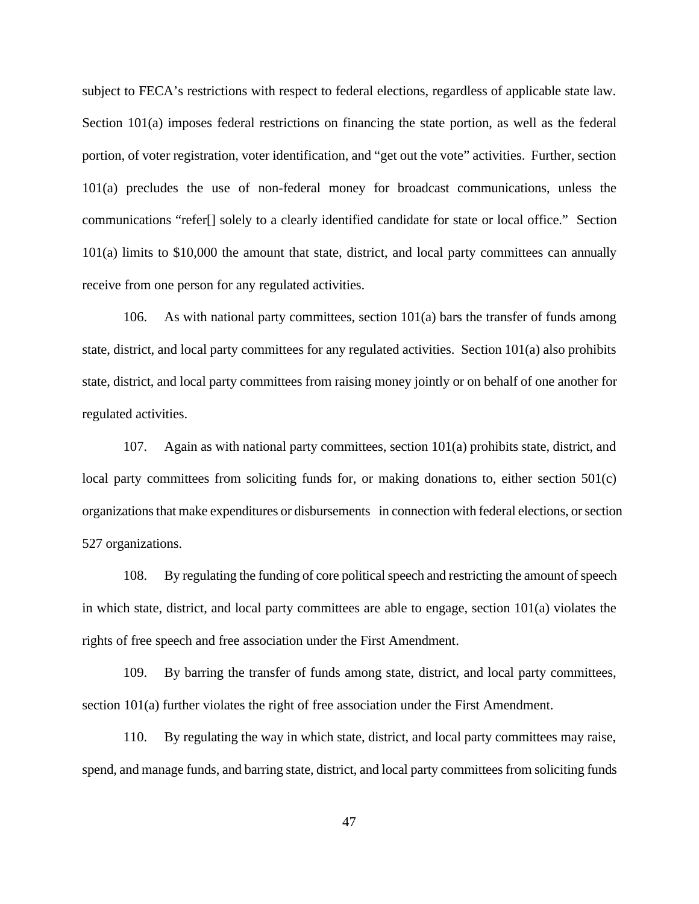subject to FECA's restrictions with respect to federal elections, regardless of applicable state law. Section 101(a) imposes federal restrictions on financing the state portion, as well as the federal portion, of voter registration, voter identification, and "get out the vote" activities. Further, section 101(a) precludes the use of non-federal money for broadcast communications, unless the communications "refer[] solely to a clearly identified candidate for state or local office." Section 101(a) limits to \$10,000 the amount that state, district, and local party committees can annually receive from one person for any regulated activities.

106. As with national party committees, section  $101(a)$  bars the transfer of funds among state, district, and local party committees for any regulated activities. Section 101(a) also prohibits state, district, and local party committees from raising money jointly or on behalf of one another for regulated activities.

107. Again as with national party committees, section 101(a) prohibits state, district, and local party committees from soliciting funds for, or making donations to, either section 501(c) organizations that make expenditures or disbursements in connection with federal elections, or section 527 organizations.

108. By regulating the funding of core political speech and restricting the amount of speech in which state, district, and local party committees are able to engage, section 101(a) violates the rights of free speech and free association under the First Amendment.

109. By barring the transfer of funds among state, district, and local party committees, section 101(a) further violates the right of free association under the First Amendment.

110. By regulating the way in which state, district, and local party committees may raise, spend, and manage funds, and barring state, district, and local party committees from soliciting funds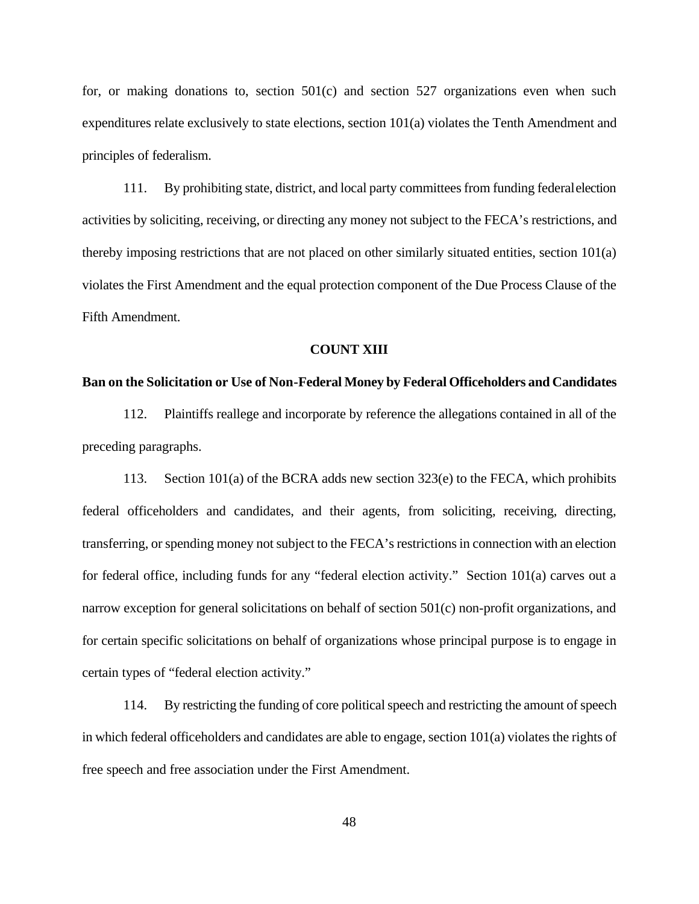for, or making donations to, section 501(c) and section 527 organizations even when such expenditures relate exclusively to state elections, section 101(a) violates the Tenth Amendment and principles of federalism.

111. By prohibiting state, district, and local party committees from funding federal election activities by soliciting, receiving, or directing any money not subject to the FECA's restrictions, and thereby imposing restrictions that are not placed on other similarly situated entities, section 101(a) violates the First Amendment and the equal protection component of the Due Process Clause of the Fifth Amendment.

#### **COUNT XIII**

#### **Ban on the Solicitation or Use of Non-Federal Money by Federal Officeholders and Candidates**

112. Plaintiffs reallege and incorporate by reference the allegations contained in all of the preceding paragraphs.

113. Section 101(a) of the BCRA adds new section 323(e) to the FECA, which prohibits federal officeholders and candidates, and their agents, from soliciting, receiving, directing, transferring, or spending money not subject to the FECA's restrictions in connection with an election for federal office, including funds for any "federal election activity." Section 101(a) carves out a narrow exception for general solicitations on behalf of section 501(c) non-profit organizations, and for certain specific solicitations on behalf of organizations whose principal purpose is to engage in certain types of "federal election activity."

114. By restricting the funding of core political speech and restricting the amount of speech in which federal officeholders and candidates are able to engage, section 101(a) violates the rights of free speech and free association under the First Amendment.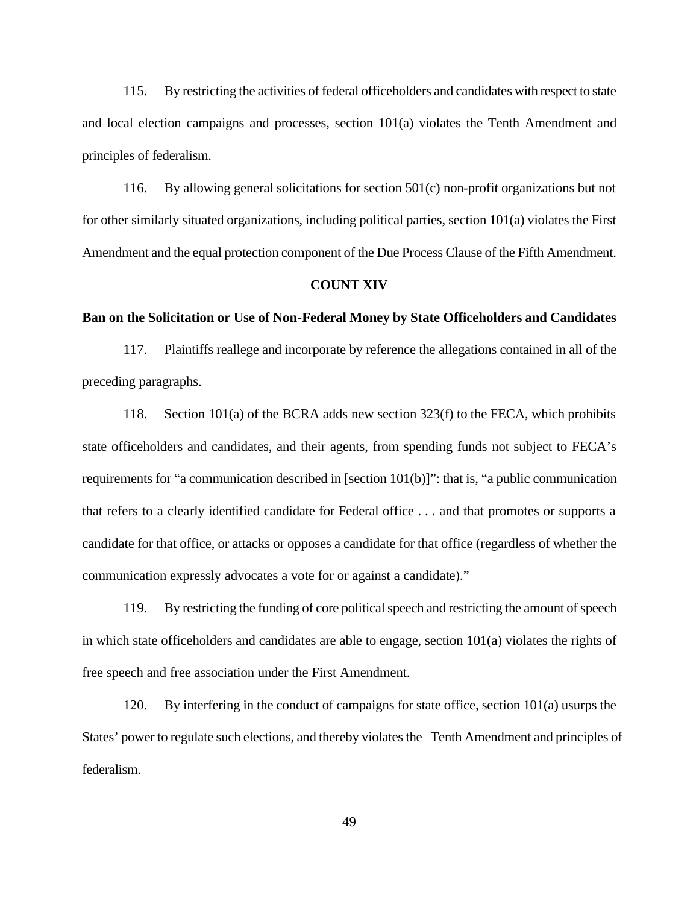115. By restricting the activities of federal officeholders and candidates with respect to state and local election campaigns and processes, section 101(a) violates the Tenth Amendment and principles of federalism.

116. By allowing general solicitations for section 501(c) non-profit organizations but not for other similarly situated organizations, including political parties, section 101(a) violates the First Amendment and the equal protection component of the Due Process Clause of the Fifth Amendment.

# **COUNT XIV**

#### **Ban on the Solicitation or Use of Non-Federal Money by State Officeholders and Candidates**

117. Plaintiffs reallege and incorporate by reference the allegations contained in all of the preceding paragraphs.

118. Section 101(a) of the BCRA adds new section 323(f) to the FECA, which prohibits state officeholders and candidates, and their agents, from spending funds not subject to FECA's requirements for "a communication described in [section 101(b)]": that is, "a public communication that refers to a clearly identified candidate for Federal office . . . and that promotes or supports a candidate for that office, or attacks or opposes a candidate for that office (regardless of whether the communication expressly advocates a vote for or against a candidate)."

119. By restricting the funding of core political speech and restricting the amount of speech in which state officeholders and candidates are able to engage, section 101(a) violates the rights of free speech and free association under the First Amendment.

120. By interfering in the conduct of campaigns for state office, section 101(a) usurps the States' power to regulate such elections, and thereby violates the Tenth Amendment and principles of federalism.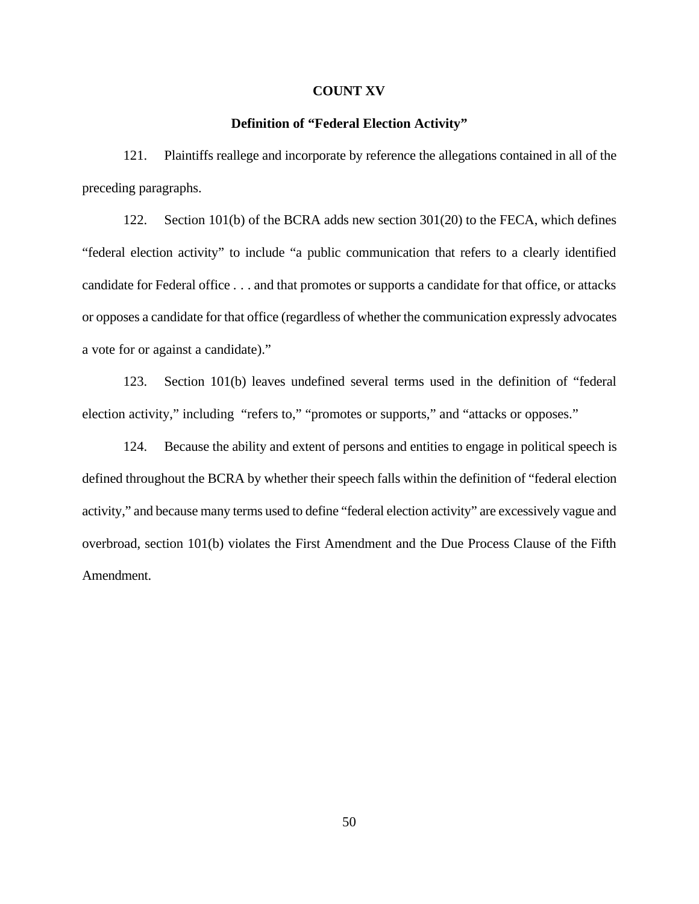#### **COUNT XV**

#### **Definition of "Federal Election Activity"**

121. Plaintiffs reallege and incorporate by reference the allegations contained in all of the preceding paragraphs.

122. Section 101(b) of the BCRA adds new section 301(20) to the FECA, which defines "federal election activity" to include "a public communication that refers to a clearly identified candidate for Federal office . . . and that promotes or supports a candidate for that office, or attacks or opposes a candidate for that office (regardless of whether the communication expressly advocates a vote for or against a candidate)."

123. Section 101(b) leaves undefined several terms used in the definition of "federal election activity," including "refers to," "promotes or supports," and "attacks or opposes."

124. Because the ability and extent of persons and entities to engage in political speech is defined throughout the BCRA by whether their speech falls within the definition of "federal election activity," and because many terms used to define "federal election activity" are excessively vague and overbroad, section 101(b) violates the First Amendment and the Due Process Clause of the Fifth Amendment.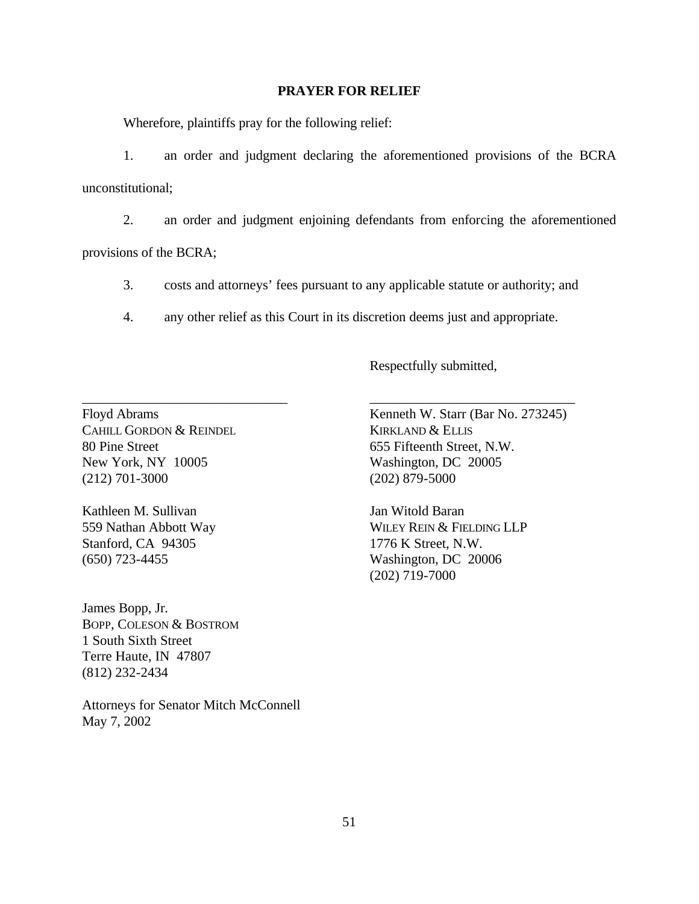#### **PRAYER FOR RELIEF**

Wherefore, plaintiffs pray for the following relief:

1. an order and judgment declaring the aforementioned provisions of the BCRA unconstitutional;

2. an order and judgment enjoining defendants from enforcing the aforementioned provisions of the BCRA;

3. costs and attorneys' fees pursuant to any applicable statute or authority; and

4. any other relief as this Court in its discretion deems just and appropriate.

\_\_\_\_\_\_\_\_\_\_\_\_\_\_\_\_\_\_\_\_\_\_\_\_\_\_\_\_\_\_ \_\_\_\_\_\_\_\_\_\_\_\_\_\_\_\_\_\_\_\_\_\_\_\_\_\_\_\_\_\_

Respectfully submitted,

CAHILL GORDON & REINDEL KIRKLAND & ELLIS 80 Pine Street 655 Fifteenth Street, N.W. New York, NY 10005 Washington, DC 20005 (212) 701-3000 (202) 879-5000

Kathleen M. Sullivan Jan Witold Baran Stanford, CA 94305 1776 K Street, N.W. (650) 723-4455 Washington, DC 20006

James Bopp, Jr. BOPP, COLESON & BOSTROM 1 South Sixth Street Terre Haute, IN 47807 (812) 232-2434

Attorneys for Senator Mitch McConnell May 7, 2002

Floyd Abrams Kenneth W. Starr (Bar No. 273245)

559 Nathan Abbott Way WILEY REIN & FIELDING LLP (202) 719-7000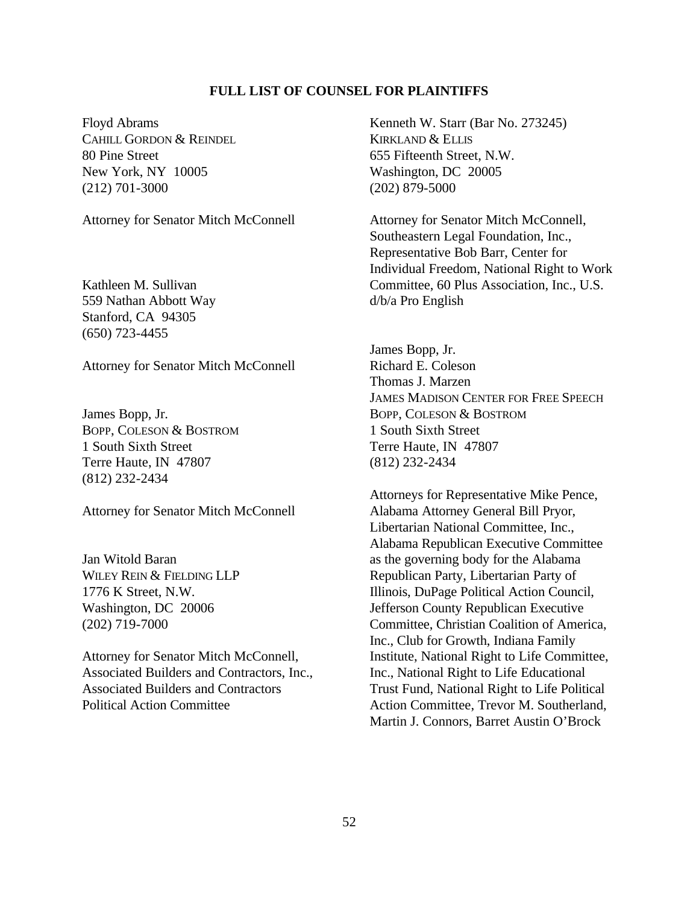# **FULL LIST OF COUNSEL FOR PLAINTIFFS**

Floyd Abrams CAHILL GORDON & REINDEL 80 Pine Street New York, NY 10005 (212) 701-3000

Attorney for Senator Mitch McConnell

Kathleen M. Sullivan 559 Nathan Abbott Way Stanford, CA 94305 (650) 723-4455

Attorney for Senator Mitch McConnell

James Bopp, Jr. BOPP, COLESON & BOSTROM 1 South Sixth Street Terre Haute, IN 47807 (812) 232-2434

Attorney for Senator Mitch McConnell

Jan Witold Baran WILEY REIN & FIELDING LLP 1776 K Street, N.W. Washington, DC 20006 (202) 719-7000

Attorney for Senator Mitch McConnell, Associated Builders and Contractors, Inc., Associated Builders and Contractors Political Action Committee

Kenneth W. Starr (Bar No. 273245) KIRKLAND & ELLIS 655 Fifteenth Street, N.W. Washington, DC 20005 (202) 879-5000

Attorney for Senator Mitch McConnell, Southeastern Legal Foundation, Inc., Representative Bob Barr, Center for Individual Freedom, National Right to Work Committee, 60 Plus Association, Inc., U.S. d/b/a Pro English

James Bopp, Jr. Richard E. Coleson Thomas J. Marzen JAMES MADISON CENTER FOR FREE SPEECH BOPP, COLESON & BOSTROM 1 South Sixth Street Terre Haute, IN 47807 (812) 232-2434

Attorneys for Representative Mike Pence, Alabama Attorney General Bill Pryor, Libertarian National Committee, Inc., Alabama Republican Executive Committee as the governing body for the Alabama Republican Party, Libertarian Party of Illinois, DuPage Political Action Council, Jefferson County Republican Executive Committee, Christian Coalition of America, Inc., Club for Growth, Indiana Family Institute, National Right to Life Committee, Inc., National Right to Life Educational Trust Fund, National Right to Life Political Action Committee, Trevor M. Southerland, Martin J. Connors, Barret Austin O'Brock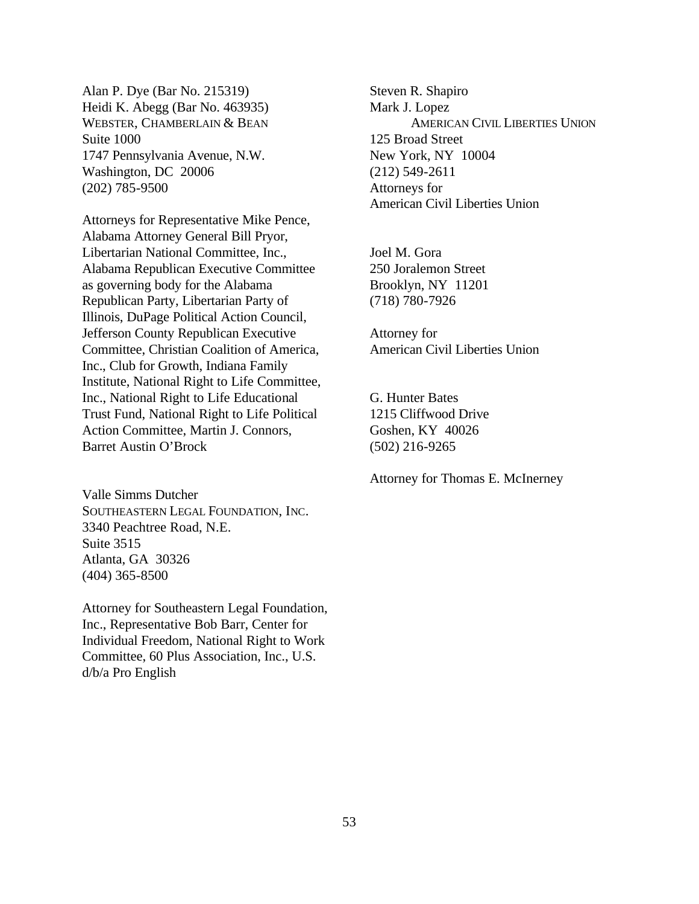Alan P. Dye (Bar No. 215319) Heidi K. Abegg (Bar No. 463935) WEBSTER, CHAMBERLAIN & BEAN Suite 1000 1747 Pennsylvania Avenue, N.W. Washington, DC 20006 (202) 785-9500

Attorneys for Representative Mike Pence, Alabama Attorney General Bill Pryor, Libertarian National Committee, Inc., Alabama Republican Executive Committee as governing body for the Alabama Republican Party, Libertarian Party of Illinois, DuPage Political Action Council, Jefferson County Republican Executive Committee, Christian Coalition of America, Inc., Club for Growth, Indiana Family Institute, National Right to Life Committee, Inc., National Right to Life Educational Trust Fund, National Right to Life Political Action Committee, Martin J. Connors, Barret Austin O'Brock

Valle Simms Dutcher SOUTHEASTERN LEGAL FOUNDATION, INC. 3340 Peachtree Road, N.E. Suite 3515 Atlanta, GA 30326 (404) 365-8500

Attorney for Southeastern Legal Foundation, Inc., Representative Bob Barr, Center for Individual Freedom, National Right to Work Committee, 60 Plus Association, Inc., U.S. d/b/a Pro English

Steven R. Shapiro Mark J. Lopez AMERICAN CIVIL LIBERTIES UNION 125 Broad Street New York, NY 10004 (212) 549-2611 Attorneys for American Civil Liberties Union

Joel M. Gora 250 Joralemon Street Brooklyn, NY 11201 (718) 780-7926

Attorney for American Civil Liberties Union

G. Hunter Bates 1215 Cliffwood Drive Goshen, KY 40026 (502) 216-9265

Attorney for Thomas E. McInerney